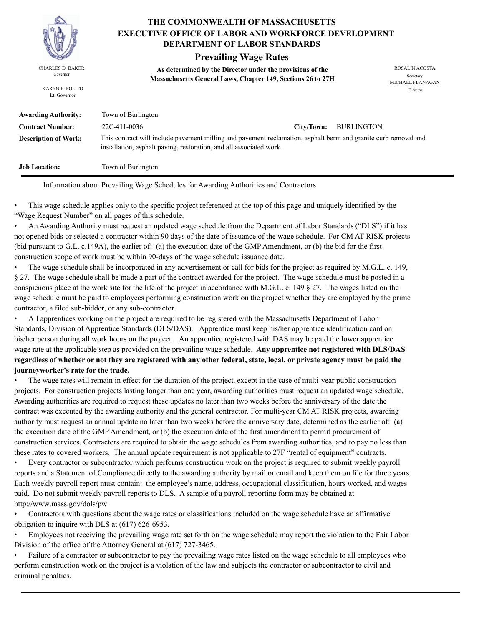

KARYN E. POLITO Lt. Governor

**THE COMMONWEALTH OF MASSACHUSETTS DEPARTMENT OF LABOR STANDARDS EXECUTIVE OFFICE OF LABOR AND WORKFORCE DEVELOPMENT**

### **Prevailing Wage Rates**

**As determined by the Director under the provisions of the**  CHARLES D. BAKER ROSALIN ACOSTA Governor<br>**Massachusetts General Laws, Chapter 149, Sections 26 to 27H** 

MICHAEL FLANAGAN Director

| <b>Awarding Authority:</b>  | Town of Burlington                                                  |                                                                                                                 |            |  |  |  |
|-----------------------------|---------------------------------------------------------------------|-----------------------------------------------------------------------------------------------------------------|------------|--|--|--|
| <b>Contract Number:</b>     | 22C-411-0036                                                        | City/Town:                                                                                                      | BURLINGTON |  |  |  |
| <b>Description of Work:</b> | installation, asphalt paving, restoration, and all associated work. | This contract will include pavement milling and pavement reclamation, asphalt berm and granite curb removal and |            |  |  |  |
| <b>Job Location:</b>        | Town of Burlington                                                  |                                                                                                                 |            |  |  |  |

Information about Prevailing Wage Schedules for Awarding Authorities and Contractors

• This wage schedule applies only to the specific project referenced at the top of this page and uniquely identified by the "Wage Request Number" on all pages of this schedule.

• An Awarding Authority must request an updated wage schedule from the Department of Labor Standards ("DLS") if it has not opened bids or selected a contractor within 90 days of the date of issuance of the wage schedule. For CM AT RISK projects (bid pursuant to G.L. c.149A), the earlier of: (a) the execution date of the GMP Amendment, or (b) the bid for the first construction scope of work must be within 90-days of the wage schedule issuance date.

• The wage schedule shall be incorporated in any advertisement or call for bids for the project as required by M.G.L. c. 149, § 27. The wage schedule shall be made a part of the contract awarded for the project. The wage schedule must be posted in a conspicuous place at the work site for the life of the project in accordance with M.G.L. c. 149 § 27. The wages listed on the wage schedule must be paid to employees performing construction work on the project whether they are employed by the prime contractor, a filed sub-bidder, or any sub-contractor.

• All apprentices working on the project are required to be registered with the Massachusetts Department of Labor Standards, Division of Apprentice Standards (DLS/DAS). Apprentice must keep his/her apprentice identification card on his/her person during all work hours on the project. An apprentice registered with DAS may be paid the lower apprentice wage rate at the applicable step as provided on the prevailing wage schedule. **Any apprentice not registered with DLS/DAS regardless of whether or not they are registered with any other federal, state, local, or private agency must be paid the journeyworker's rate for the trade.**

• The wage rates will remain in effect for the duration of the project, except in the case of multi-year public construction projects. For construction projects lasting longer than one year, awarding authorities must request an updated wage schedule. Awarding authorities are required to request these updates no later than two weeks before the anniversary of the date the contract was executed by the awarding authority and the general contractor. For multi-year CM AT RISK projects, awarding authority must request an annual update no later than two weeks before the anniversary date, determined as the earlier of: (a) the execution date of the GMP Amendment, or (b) the execution date of the first amendment to permit procurement of construction services. Contractors are required to obtain the wage schedules from awarding authorities, and to pay no less than these rates to covered workers. The annual update requirement is not applicable to 27F "rental of equipment" contracts.

• Every contractor or subcontractor which performs construction work on the project is required to submit weekly payroll reports and a Statement of Compliance directly to the awarding authority by mail or email and keep them on file for three years. Each weekly payroll report must contain: the employee's name, address, occupational classification, hours worked, and wages paid. Do not submit weekly payroll reports to DLS. A sample of a payroll reporting form may be obtained at http://www.mass.gov/dols/pw.

• Contractors with questions about the wage rates or classifications included on the wage schedule have an affirmative obligation to inquire with DLS at (617) 626-6953.

• Employees not receiving the prevailing wage rate set forth on the wage schedule may report the violation to the Fair Labor Division of the office of the Attorney General at (617) 727-3465.

• Failure of a contractor or subcontractor to pay the prevailing wage rates listed on the wage schedule to all employees who perform construction work on the project is a violation of the law and subjects the contractor or subcontractor to civil and criminal penalties.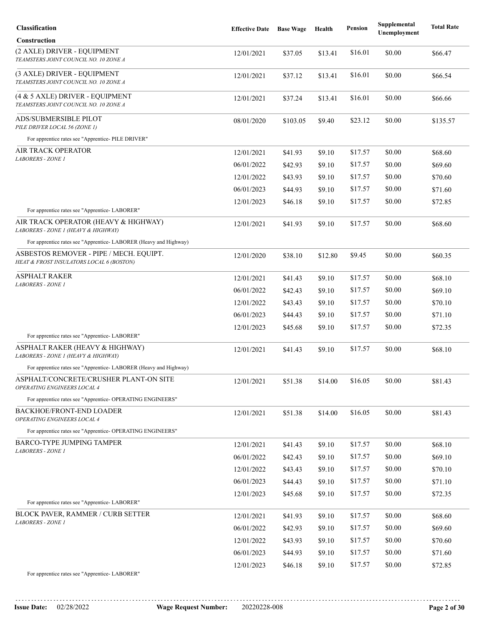| Classification                                                                      | <b>Effective Date</b> | <b>Base Wage</b> | Health  | <b>Pension</b> | Supplemental<br>Unemployment | <b>Total Rate</b> |
|-------------------------------------------------------------------------------------|-----------------------|------------------|---------|----------------|------------------------------|-------------------|
| <b>Construction</b>                                                                 |                       |                  |         |                |                              |                   |
| (2 AXLE) DRIVER - EQUIPMENT<br>TEAMSTERS JOINT COUNCIL NO. 10 ZONE A                | 12/01/2021            | \$37.05          | \$13.41 | \$16.01        | \$0.00                       | \$66.47           |
| (3 AXLE) DRIVER - EQUIPMENT<br>TEAMSTERS JOINT COUNCIL NO. 10 ZONE A                | 12/01/2021            | \$37.12          | \$13.41 | \$16.01        | \$0.00                       | \$66.54           |
| (4 & 5 AXLE) DRIVER - EQUIPMENT<br>TEAMSTERS JOINT COUNCIL NO. 10 ZONE A            | 12/01/2021            | \$37.24          | \$13.41 | \$16.01        | \$0.00                       | \$66.66           |
| ADS/SUBMERSIBLE PILOT<br>PILE DRIVER LOCAL 56 (ZONE 1)                              | 08/01/2020            | \$103.05         | \$9.40  | \$23.12        | \$0.00                       | \$135.57          |
| For apprentice rates see "Apprentice- PILE DRIVER"                                  |                       |                  |         |                |                              |                   |
| AIR TRACK OPERATOR<br>LABORERS - ZONE 1                                             | 12/01/2021            | \$41.93          | \$9.10  | \$17.57        | \$0.00                       | \$68.60           |
|                                                                                     | 06/01/2022            | \$42.93          | \$9.10  | \$17.57        | \$0.00                       | \$69.60           |
|                                                                                     | 12/01/2022            | \$43.93          | \$9.10  | \$17.57        | \$0.00                       | \$70.60           |
|                                                                                     | 06/01/2023            | \$44.93          | \$9.10  | \$17.57        | \$0.00                       | \$71.60           |
|                                                                                     | 12/01/2023            | \$46.18          | \$9.10  | \$17.57        | \$0.00                       | \$72.85           |
| For apprentice rates see "Apprentice-LABORER"                                       |                       |                  |         |                |                              |                   |
| AIR TRACK OPERATOR (HEAVY & HIGHWAY)<br>LABORERS - ZONE 1 (HEAVY & HIGHWAY)         | 12/01/2021            | \$41.93          | \$9.10  | \$17.57        | \$0.00                       | \$68.60           |
| For apprentice rates see "Apprentice- LABORER (Heavy and Highway)                   |                       |                  |         |                |                              |                   |
| ASBESTOS REMOVER - PIPE / MECH. EQUIPT.<br>HEAT & FROST INSULATORS LOCAL 6 (BOSTON) | 12/01/2020            | \$38.10          | \$12.80 | \$9.45         | \$0.00                       | \$60.35           |
| <b>ASPHALT RAKER</b>                                                                | 12/01/2021            | \$41.43          | \$9.10  | \$17.57        | \$0.00                       | \$68.10           |
| <b>LABORERS - ZONE 1</b>                                                            | 06/01/2022            | \$42.43          | \$9.10  | \$17.57        | \$0.00                       | \$69.10           |
|                                                                                     | 12/01/2022            | \$43.43          | \$9.10  | \$17.57        | \$0.00                       | \$70.10           |
|                                                                                     | 06/01/2023            | \$44.43          | \$9.10  | \$17.57        | \$0.00                       | \$71.10           |
| For apprentice rates see "Apprentice-LABORER"                                       | 12/01/2023            | \$45.68          | \$9.10  | \$17.57        | \$0.00                       | \$72.35           |
| ASPHALT RAKER (HEAVY & HIGHWAY)                                                     | 12/01/2021            | \$41.43          | \$9.10  | \$17.57        | \$0.00                       | \$68.10           |
| LABORERS - ZONE 1 (HEAVY & HIGHWAY)                                                 |                       |                  |         |                |                              |                   |
| For apprentice rates see "Apprentice-LABORER (Heavy and Highway)                    |                       |                  |         |                |                              |                   |
| ASPHALT/CONCRETE/CRUSHER PLANT-ON SITE<br>OPERATING ENGINEERS LOCAL 4               | 12/01/2021            | \$51.38          | \$14.00 | \$16.05        | \$0.00                       | \$81.43           |
| For apprentice rates see "Apprentice- OPERATING ENGINEERS"                          |                       |                  |         |                |                              |                   |
| <b>BACKHOE/FRONT-END LOADER</b><br>OPERATING ENGINEERS LOCAL 4                      | 12/01/2021            | \$51.38          | \$14.00 | \$16.05        | \$0.00                       | \$81.43           |
| For apprentice rates see "Apprentice- OPERATING ENGINEERS"                          |                       |                  |         |                |                              |                   |
| <b>BARCO-TYPE JUMPING TAMPER</b><br>LABORERS - ZONE 1                               | 12/01/2021            | \$41.43          | \$9.10  | \$17.57        | \$0.00                       | \$68.10           |
|                                                                                     | 06/01/2022            | \$42.43          | \$9.10  | \$17.57        | \$0.00                       | \$69.10           |
|                                                                                     | 12/01/2022            | \$43.43          | \$9.10  | \$17.57        | \$0.00                       | \$70.10           |
|                                                                                     | 06/01/2023            | \$44.43          | \$9.10  | \$17.57        | \$0.00                       | \$71.10           |
|                                                                                     | 12/01/2023            | \$45.68          | \$9.10  | \$17.57        | \$0.00                       | \$72.35           |
| For apprentice rates see "Apprentice-LABORER"                                       |                       |                  |         |                |                              |                   |
| <b>BLOCK PAVER, RAMMER / CURB SETTER</b><br><b>LABORERS - ZONE 1</b>                | 12/01/2021            | \$41.93          | \$9.10  | \$17.57        | \$0.00                       | \$68.60           |
|                                                                                     | 06/01/2022            | \$42.93          | \$9.10  | \$17.57        | \$0.00                       | \$69.60           |
|                                                                                     | 12/01/2022            | \$43.93          | \$9.10  | \$17.57        | \$0.00                       | \$70.60           |
|                                                                                     | 06/01/2023            | \$44.93          | \$9.10  | \$17.57        | \$0.00                       | \$71.60           |
| For apprentice rates see "Apprentice-LABORER"                                       | 12/01/2023            | \$46.18          | \$9.10  | \$17.57        | \$0.00                       | \$72.85           |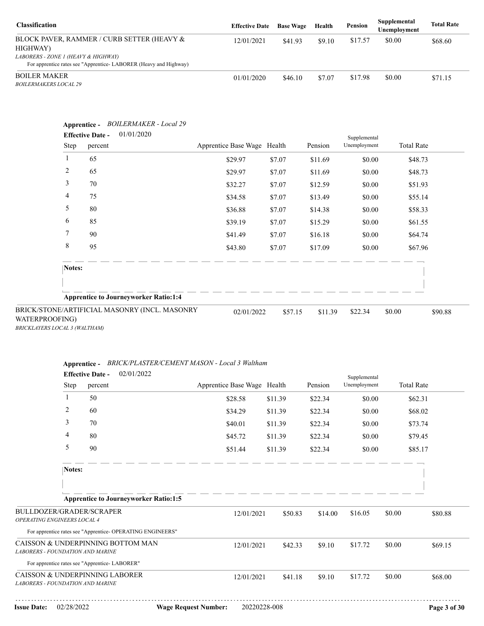| <b>Classification</b>                                                                                   | <b>Effective Date</b> | <b>Base Wage</b> | Health | Pension | Supplemental<br>Unemployment | <b>Total Rate</b> |
|---------------------------------------------------------------------------------------------------------|-----------------------|------------------|--------|---------|------------------------------|-------------------|
| BLOCK PAVER, RAMMER / CURB SETTER (HEAVY &<br>HIGHWAY)                                                  | 12/01/2021            | \$41.93          | \$9.10 | \$17.57 | \$0.00                       | \$68.60           |
| LABORERS - ZONE 1 (HEAVY & HIGHWAY)<br>For apprentice rates see "Apprentice-LABORER (Heavy and Highway) |                       |                  |        |         |                              |                   |
| <b>BOILER MAKER</b><br><i>BOILERMAKERS LOCAL 29</i>                                                     | 01/01/2020            | \$46.10          | \$7.07 | \$17.98 | \$0.00                       | \$71.15           |

| Step           | 01/01/2020<br><b>Effective Date -</b><br>percent | Apprentice Base Wage Health |         | Pension | Supplemental<br>Unemployment | <b>Total Rate</b> |
|----------------|--------------------------------------------------|-----------------------------|---------|---------|------------------------------|-------------------|
|                | 65                                               | \$29.97                     | \$7.07  | \$11.69 | \$0.00                       | \$48.73           |
| $\overline{c}$ | 65                                               | \$29.97                     | \$7.07  | \$11.69 | \$0.00                       | \$48.73           |
| 3              | 70                                               | \$32.27                     | \$7.07  | \$12.59 | \$0.00                       | \$51.93           |
| 4              | 75                                               | \$34.58                     | \$7.07  | \$13.49 | \$0.00                       | \$55.14           |
| 5              | 80                                               | \$36.88                     | \$7.07  | \$14.38 | \$0.00                       | \$58.33           |
| 6              | 85                                               | \$39.19                     | \$7.07  | \$15.29 | \$0.00                       | \$61.55           |
| 7              | 90                                               | \$41.49                     | \$7.07  | \$16.18 | \$0.00                       | \$64.74           |
| 8              | 95                                               | \$43.80                     | \$7.07  | \$17.09 | \$0.00                       | \$67.96           |
| Notes:         |                                                  |                             |         |         |                              |                   |
|                | <b>Apprentice to Journeyworker Ratio:1:4</b>     |                             |         |         |                              |                   |
| WATERPROOFING) | BRICK/STONE/ARTIFICIAL MASONRY (INCL. MASONRY    | 02/01/2022                  | \$57.15 | \$11.39 | \$22.34                      | \$0.00<br>\$90.88 |

| Apprentice - BRICK/PLASTER/CEMENT MASON - Local 3 Walthan. |  |
|------------------------------------------------------------|--|
|                                                            |  |

|                                                                    |                | <b>Effective Date -</b>                       | 02/01/2022                                                 |                             |         |         | Supplemental |        |                   |
|--------------------------------------------------------------------|----------------|-----------------------------------------------|------------------------------------------------------------|-----------------------------|---------|---------|--------------|--------|-------------------|
|                                                                    | Step           | percent                                       |                                                            | Apprentice Base Wage Health |         | Pension | Unemployment |        | <b>Total Rate</b> |
|                                                                    | $\mathbf{1}$   | 50                                            |                                                            | \$28.58                     | \$11.39 | \$22.34 | \$0.00       |        | \$62.31           |
|                                                                    | 2              | 60                                            |                                                            | \$34.29                     | \$11.39 | \$22.34 | \$0.00       |        | \$68.02           |
|                                                                    | 3              | 70                                            |                                                            | \$40.01                     | \$11.39 | \$22.34 | \$0.00       |        | \$73.74           |
|                                                                    | $\overline{4}$ | 80                                            |                                                            | \$45.72                     | \$11.39 | \$22.34 | \$0.00       |        | \$79.45           |
|                                                                    | 5              | 90                                            |                                                            | \$51.44                     | \$11.39 | \$22.34 | \$0.00       |        | \$85.17           |
|                                                                    | Notes:         |                                               |                                                            |                             |         |         |              |        |                   |
|                                                                    |                |                                               |                                                            |                             |         |         |              |        |                   |
|                                                                    |                |                                               | <b>Apprentice to Journeyworker Ratio:1:5</b>               |                             |         |         |              |        |                   |
| BULLDOZER/GRADER/SCRAPER<br>OPERATING ENGINEERS LOCAL 4            |                |                                               |                                                            | 12/01/2021                  | \$50.83 | \$14.00 | \$16.05      | \$0.00 | \$80.88           |
|                                                                    |                |                                               | For apprentice rates see "Apprentice- OPERATING ENGINEERS" |                             |         |         |              |        |                   |
| LABORERS - FOUNDATION AND MARINE                                   |                |                                               | CAISSON & UNDERPINNING BOTTOM MAN                          | 12/01/2021                  | \$42.33 | \$9.10  | \$17.72      | \$0.00 | \$69.15           |
|                                                                    |                | For apprentice rates see "Apprentice-LABORER" |                                                            |                             |         |         |              |        |                   |
| CAISSON & UNDERPINNING LABORER<br>LABORERS - FOUNDATION AND MARINE |                |                                               |                                                            | 12/01/2021                  | \$41.18 | \$9.10  | \$17.72      | \$0.00 | \$68.00           |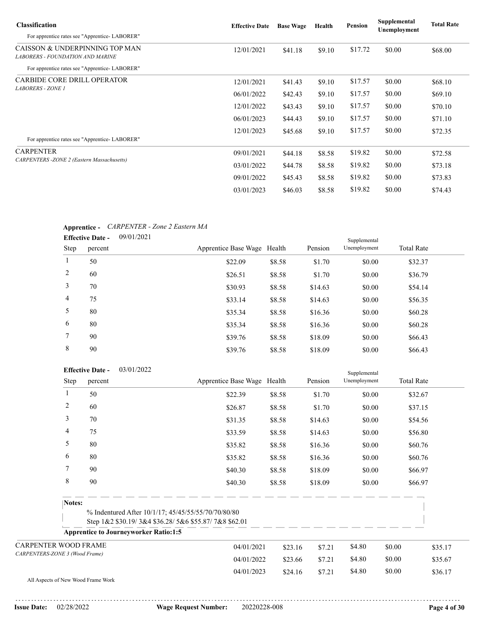| <b>Classification</b>                                                     | <b>Effective Date</b> | <b>Base Wage</b> | Health | Pension | Supplemental<br>Unemployment | <b>Total Rate</b> |
|---------------------------------------------------------------------------|-----------------------|------------------|--------|---------|------------------------------|-------------------|
| For apprentice rates see "Apprentice-LABORER"                             |                       |                  |        |         |                              |                   |
| CAISSON & UNDERPINNING TOP MAN<br><b>LABORERS - FOUNDATION AND MARINE</b> | 12/01/2021            | \$41.18          | \$9.10 | \$17.72 | \$0.00                       | \$68.00           |
| For apprentice rates see "Apprentice-LABORER"                             |                       |                  |        |         |                              |                   |
| <b>CARBIDE CORE DRILL OPERATOR</b>                                        | 12/01/2021            | \$41.43          | \$9.10 | \$17.57 | \$0.00                       | \$68.10           |
| <b>LABORERS - ZONE 1</b>                                                  | 06/01/2022            | \$42.43          | \$9.10 | \$17.57 | \$0.00                       | \$69.10           |
|                                                                           | 12/01/2022            | \$43.43          | \$9.10 | \$17.57 | \$0.00                       | \$70.10           |
|                                                                           | 06/01/2023            | \$44.43          | \$9.10 | \$17.57 | \$0.00                       | \$71.10           |
|                                                                           | 12/01/2023            | \$45.68          | \$9.10 | \$17.57 | \$0.00                       | \$72.35           |
| For apprentice rates see "Apprentice-LABORER"                             |                       |                  |        |         |                              |                   |
| <b>CARPENTER</b>                                                          | 09/01/2021            | \$44.18          | \$8.58 | \$19.82 | \$0.00                       | \$72.58           |
| <b>CARPENTERS - ZONE 2 (Eastern Massachusetts)</b>                        | 03/01/2022            | \$44.78          | \$8.58 | \$19.82 | \$0.00                       | \$73.18           |
|                                                                           | 09/01/2022            | \$45.43          | \$8.58 | \$19.82 | \$0.00                       | \$73.83           |
|                                                                           | 03/01/2023            | \$46.03          | \$8.58 | \$19.82 | \$0.00                       | \$74.43           |

### **Apprentice -** *CARPENTER - Zone 2 Eastern MA*

|                | 09/01/2021<br><b>Effective Date -</b> |                             |        |         | Supplemental |                   |
|----------------|---------------------------------------|-----------------------------|--------|---------|--------------|-------------------|
| Step           | percent                               | Apprentice Base Wage Health |        | Pension | Unemployment | <b>Total Rate</b> |
| $\mathbf{1}$   | 50                                    | \$22.09                     | \$8.58 | \$1.70  | \$0.00       | \$32.37           |
| 2              | 60                                    | \$26.51                     | \$8.58 | \$1.70  | \$0.00       | \$36.79           |
| 3              | 70                                    | \$30.93                     | \$8.58 | \$14.63 | \$0.00       | \$54.14           |
| $\overline{4}$ | 75                                    | \$33.14                     | \$8.58 | \$14.63 | \$0.00       | \$56.35           |
| 5              | 80                                    | \$35.34                     | \$8.58 | \$16.36 | \$0.00       | \$60.28           |
| 6              | 80                                    | \$35.34                     | \$8.58 | \$16.36 | \$0.00       | \$60.28           |
| 7              | 90                                    | \$39.76                     | \$8.58 | \$18.09 | \$0.00       | \$66.43           |
| 8              | 90                                    | \$39.76                     | \$8.58 | \$18.09 | \$0.00       | \$66.43           |

|                                    |      | 03/01/2022<br><b>Effective Date -</b>        |                                                                                                             |         |         | Supplemental |                   |         |
|------------------------------------|------|----------------------------------------------|-------------------------------------------------------------------------------------------------------------|---------|---------|--------------|-------------------|---------|
|                                    | Step | percent                                      | Apprentice Base Wage Health                                                                                 |         | Pension | Unemployment | <b>Total Rate</b> |         |
|                                    | 1    | 50                                           | \$22.39                                                                                                     | \$8.58  | \$1.70  | \$0.00       | \$32.67           |         |
|                                    | 2    | 60                                           | \$26.87                                                                                                     | \$8.58  | \$1.70  | \$0.00       | \$37.15           |         |
|                                    | 3    | 70                                           | \$31.35                                                                                                     | \$8.58  | \$14.63 | \$0.00       | \$54.56           |         |
|                                    | 4    | 75                                           | \$33.59                                                                                                     | \$8.58  | \$14.63 | \$0.00       | \$56.80           |         |
|                                    | 5    | 80                                           | \$35.82                                                                                                     | \$8.58  | \$16.36 | \$0.00       | \$60.76           |         |
|                                    | 6    | 80                                           | \$35.82                                                                                                     | \$8.58  | \$16.36 | \$0.00       | \$60.76           |         |
|                                    | 7    | 90                                           | \$40.30                                                                                                     | \$8.58  | \$18.09 | \$0.00       | \$66.97           |         |
|                                    | 8    | 90                                           | \$40.30                                                                                                     | \$8.58  | \$18.09 | \$0.00       | \$66.97           |         |
| Notes:                             |      |                                              | % Indentured After 10/1/17; 45/45/55/55/70/70/80/80<br>Step 1&2 \$30.19/3&4 \$36.28/5&6 \$55.87/7&8 \$62.01 |         |         |              |                   |         |
|                                    |      | <b>Apprentice to Journeyworker Ratio:1:5</b> |                                                                                                             |         |         |              |                   |         |
| <b>CARPENTER WOOD FRAME</b>        |      |                                              | 04/01/2021                                                                                                  | \$23.16 | \$7.21  | \$4.80       | \$0.00            | \$35.17 |
| CARPENTERS-ZONE 3 (Wood Frame)     |      | 04/01/2022                                   | \$23.66                                                                                                     | \$7.21  | \$4.80  | \$0.00       | \$35.67           |         |
|                                    |      |                                              | 04/01/2023                                                                                                  | \$24.16 | \$7.21  | \$4.80       | \$0.00            | \$36.17 |
| All Aspects of New Wood Frame Work |      |                                              |                                                                                                             |         |         |              |                   |         |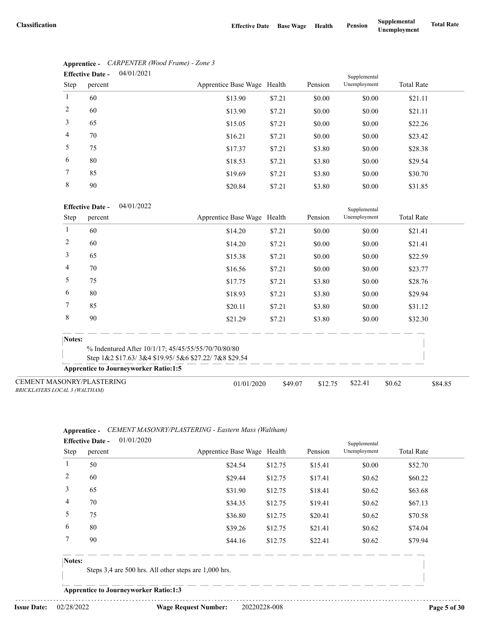|                | 04/01/2021<br><b>Effective Date -</b> |                             |        |         |              |                   |
|----------------|---------------------------------------|-----------------------------|--------|---------|--------------|-------------------|
| Step           | percent                               | Apprentice Base Wage Health |        | Pension | Unemployment | <b>Total Rate</b> |
| $\mathbf{1}$   | 60                                    | \$13.90                     | \$7.21 | \$0.00  | \$0.00       | \$21.11           |
| 2              | 60                                    | \$13.90                     | \$7.21 | \$0.00  | \$0.00       | \$21.11           |
| 3              | 65                                    | \$15.05                     | \$7.21 | \$0.00  | \$0.00       | \$22.26           |
| $\overline{4}$ | 70                                    | \$16.21                     | \$7.21 | \$0.00  | \$0.00       | \$23.42           |
| 5              | 75                                    | \$17.37                     | \$7.21 | \$3.80  | \$0.00       | \$28.38           |
| 6              | 80                                    | \$18.53                     | \$7.21 | \$3.80  | \$0.00       | \$29.54           |
| 7              | 85                                    | \$19.69                     | \$7.21 | \$3.80  | \$0.00       | \$30.70           |
| 8              | 90                                    | \$20.84                     | \$7.21 | \$3.80  | \$0.00       | \$31.85           |

## **Apprentice -** *CARPENTER (Wood Frame) - Zone 3*

#### 04/01/2022 **Effective Date -**

|                                                                   | <b>Effective Date -</b><br>04/01/2022        |                                                      |         |         | Supplemental |                   |         |  |
|-------------------------------------------------------------------|----------------------------------------------|------------------------------------------------------|---------|---------|--------------|-------------------|---------|--|
| Step                                                              | percent                                      | Apprentice Base Wage Health                          |         | Pension | Unemployment | <b>Total Rate</b> |         |  |
|                                                                   | 60                                           | \$14.20                                              | \$7.21  | \$0.00  | \$0.00       | \$21.41           |         |  |
| 2                                                                 | 60                                           | \$14.20                                              | \$7.21  | \$0.00  | \$0.00       | \$21.41           |         |  |
| 3                                                                 | 65                                           | \$15.38                                              | \$7.21  | \$0.00  | \$0.00       | \$22.59           |         |  |
| 4                                                                 | 70                                           | \$16.56                                              | \$7.21  | \$0.00  | \$0.00       | \$23.77           |         |  |
| 5                                                                 | 75                                           | \$17.75                                              | \$7.21  | \$3.80  | \$0.00       | \$28.76           |         |  |
| 6                                                                 | 80                                           | \$18.93                                              | \$7.21  | \$3.80  | \$0.00       | \$29.94           |         |  |
| 7                                                                 | 85                                           | \$20.11                                              | \$7.21  | \$3.80  | \$0.00       | \$31.12           |         |  |
| 8                                                                 | 90                                           | \$21.29                                              | \$7.21  | \$3.80  | \$0.00       | \$32.30           |         |  |
| Notes:                                                            |                                              |                                                      |         |         |              |                   |         |  |
|                                                                   |                                              | % Indentured After 10/1/17; 45/45/55/55/70/70/80/80  |         |         |              |                   |         |  |
|                                                                   |                                              | Step 1&2 \$17.63/3&4 \$19.95/5&6 \$27.22/7&8 \$29.54 |         |         |              |                   |         |  |
|                                                                   | <b>Apprentice to Journeyworker Ratio:1:5</b> |                                                      |         |         |              |                   |         |  |
| <b>CEMENT MASONRY/PLASTERING</b><br>BRICKLAYERS LOCAL 3 (WALTHAM) |                                              | 01/01/2020                                           | \$49.07 | \$12.75 | \$22.41      | \$0.62            | \$84.85 |  |

#### **Apprentice -** *CEMENT MASONRY/PLASTERING - Eastern Mass (Waltham)* 01/01/2020 **Effective Date -**

|       | Lifective Date -<br>01/01/2020 |                             |         |         | Supplemental |                   |  |
|-------|--------------------------------|-----------------------------|---------|---------|--------------|-------------------|--|
| Step  | percent                        | Apprentice Base Wage Health |         | Pension | Unemployment | <b>Total Rate</b> |  |
|       | 50                             | \$24.54                     | \$12.75 | \$15.41 | \$0.00       | \$52.70           |  |
| 2     | 60                             | \$29.44                     | \$12.75 | \$17.41 | \$0.62       | \$60.22           |  |
| 3     | 65                             | \$31.90                     | \$12.75 | \$18.41 | \$0.62       | \$63.68           |  |
| 4     | 70                             | \$34.35                     | \$12.75 | \$19.41 | \$0.62       | \$67.13           |  |
| 5     | 75                             | \$36.80                     | \$12.75 | \$20.41 | \$0.62       | \$70.58           |  |
| 6     | 80                             | \$39.26                     | \$12.75 | \$21.41 | \$0.62       | \$74.04           |  |
|       | 90                             | \$44.16                     | \$12.75 | \$22.41 | \$0.62       | \$79.94           |  |
| $  -$ |                                |                             |         |         |              |                   |  |

#### **Notes:**

Steps 3,4 are 500 hrs. All other steps are 1,000 hrs.

**Apprentice to Journeyworker Ratio:1:3**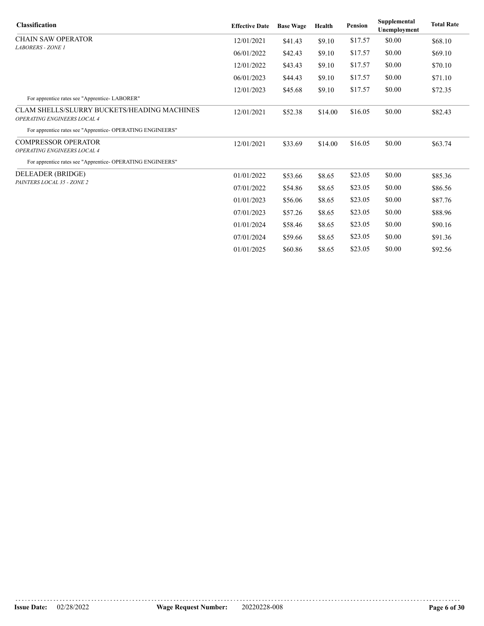| <b>Classification</b>                                                             | <b>Effective Date</b> | <b>Base Wage</b> | Health  | <b>Pension</b> | Supplemental<br>Unemployment | <b>Total Rate</b> |
|-----------------------------------------------------------------------------------|-----------------------|------------------|---------|----------------|------------------------------|-------------------|
| <b>CHAIN SAW OPERATOR</b>                                                         | 12/01/2021            | \$41.43          | \$9.10  | \$17.57        | \$0.00                       | \$68.10           |
| <b>LABORERS - ZONE 1</b>                                                          | 06/01/2022            | \$42.43          | \$9.10  | \$17.57        | \$0.00                       | \$69.10           |
|                                                                                   | 12/01/2022            | \$43.43          | \$9.10  | \$17.57        | \$0.00                       | \$70.10           |
|                                                                                   | 06/01/2023            | \$44.43          | \$9.10  | \$17.57        | \$0.00                       | \$71.10           |
|                                                                                   | 12/01/2023            | \$45.68          | \$9.10  | \$17.57        | \$0.00                       | \$72.35           |
| For apprentice rates see "Apprentice-LABORER"                                     |                       |                  |         |                |                              |                   |
| <b>CLAM SHELLS/SLURRY BUCKETS/HEADING MACHINES</b><br>OPERATING ENGINEERS LOCAL 4 | 12/01/2021            | \$52.38          | \$14.00 | \$16.05        | \$0.00                       | \$82.43           |
| For apprentice rates see "Apprentice- OPERATING ENGINEERS"                        |                       |                  |         |                |                              |                   |
| <b>COMPRESSOR OPERATOR</b>                                                        | 12/01/2021            | \$33.69          | \$14.00 | \$16.05        | \$0.00                       | \$63.74           |
| OPERATING ENGINEERS LOCAL 4                                                       |                       |                  |         |                |                              |                   |
| For apprentice rates see "Apprentice- OPERATING ENGINEERS"                        |                       |                  |         |                |                              |                   |
| DELEADER (BRIDGE)                                                                 | 01/01/2022            | \$53.66          | \$8.65  | \$23.05        | \$0.00                       | \$85.36           |
| PAINTERS LOCAL 35 - ZONE 2                                                        | 07/01/2022            | \$54.86          | \$8.65  | \$23.05        | \$0.00                       | \$86.56           |
|                                                                                   | 01/01/2023            | \$56.06          | \$8.65  | \$23.05        | \$0.00                       | \$87.76           |
|                                                                                   | 07/01/2023            | \$57.26          | \$8.65  | \$23.05        | \$0.00                       | \$88.96           |
|                                                                                   | 01/01/2024            | \$58.46          | \$8.65  | \$23.05        | \$0.00                       | \$90.16           |
|                                                                                   | 07/01/2024            | \$59.66          | \$8.65  | \$23.05        | \$0.00                       | \$91.36           |
|                                                                                   | 01/01/2025            | \$60.86          | \$8.65  | \$23.05        | \$0.00                       | \$92.56           |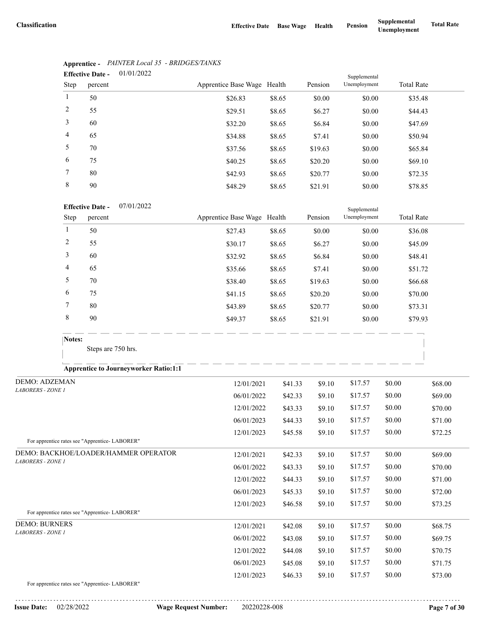|                | 01/01/2022<br><b>Effective Date -</b> |                             |        |         |                              |                   |
|----------------|---------------------------------------|-----------------------------|--------|---------|------------------------------|-------------------|
| Step           | percent                               | Apprentice Base Wage Health |        | Pension | Supplemental<br>Unemployment | <b>Total Rate</b> |
| 1              | 50                                    | \$26.83                     | \$8.65 | \$0.00  | \$0.00                       | \$35.48           |
| 2              | 55                                    | \$29.51                     | \$8.65 | \$6.27  | \$0.00                       | \$44.43           |
| 3              | 60                                    | \$32.20                     | \$8.65 | \$6.84  | \$0.00                       | \$47.69           |
| $\overline{4}$ | 65                                    | \$34.88                     | \$8.65 | \$7.41  | \$0.00                       | \$50.94           |
| 5              | 70                                    | \$37.56                     | \$8.65 | \$19.63 | \$0.00                       | \$65.84           |
| 6              | 75                                    | \$40.25                     | \$8.65 | \$20.20 | \$0.00                       | \$69.10           |
| $\tau$         | 80                                    | \$42.93                     | \$8.65 | \$20.77 | \$0.00                       | \$72.35           |
| 8              | 90                                    | \$48.29                     | \$8.65 | \$21.91 | \$0.00                       | \$78.85           |

### **Apprentice -** *PAINTER Local 35 - BRIDGES/TANKS*

#### 07/01/2022 **Effective Date -**

|      | <b>Effective Date -</b><br>0//01/2022 |                             |        |         |              |                   |  |  |
|------|---------------------------------------|-----------------------------|--------|---------|--------------|-------------------|--|--|
| Step | percent                               | Apprentice Base Wage Health |        | Pension | Unemployment | <b>Total Rate</b> |  |  |
|      | 50                                    | \$27.43                     | \$8.65 | \$0.00  | \$0.00       | \$36.08           |  |  |
| 2    | 55                                    | \$30.17                     | \$8.65 | \$6.27  | \$0.00       | \$45.09           |  |  |
| 3    | 60                                    | \$32.92                     | \$8.65 | \$6.84  | \$0.00       | \$48.41           |  |  |
| 4    | 65                                    | \$35.66                     | \$8.65 | \$7.41  | \$0.00       | \$51.72           |  |  |
| 5    | 70                                    | \$38.40                     | \$8.65 | \$19.63 | \$0.00       | \$66.68           |  |  |
| 6    | 75                                    | \$41.15                     | \$8.65 | \$20.20 | \$0.00       | \$70.00           |  |  |
|      | 80                                    | \$43.89                     | \$8.65 | \$20.77 | \$0.00       | \$73.31           |  |  |
| 8    | 90                                    | \$49.37                     | \$8.65 | \$21.91 | \$0.00       | \$79.93           |  |  |

Steps are 750 hrs.

### **Apprentice to Journeyworker Ratio:1:1**

| <b>DEMO: ADZEMAN</b>                                                                | 12/01/2021 | \$41.33 | \$9.10 | \$17.57 | \$0.00 | \$68.00 |
|-------------------------------------------------------------------------------------|------------|---------|--------|---------|--------|---------|
| <b>LABORERS - ZONE 1</b>                                                            | 06/01/2022 | \$42.33 | \$9.10 | \$17.57 | \$0.00 | \$69.00 |
|                                                                                     | 12/01/2022 | \$43.33 | \$9.10 | \$17.57 | \$0.00 | \$70.00 |
|                                                                                     | 06/01/2023 | \$44.33 | \$9.10 | \$17.57 | \$0.00 | \$71.00 |
|                                                                                     | 12/01/2023 | \$45.58 | \$9.10 | \$17.57 | \$0.00 | \$72.25 |
| For apprentice rates see "Apprentice-LABORER"                                       |            |         |        |         |        |         |
| DEMO: BACKHOE/LOADER/HAMMER OPERATOR                                                | 12/01/2021 | \$42.33 | \$9.10 | \$17.57 | \$0.00 | \$69.00 |
| <b>LABORERS - ZONE 1</b>                                                            | 06/01/2022 | \$43.33 | \$9.10 | \$17.57 | \$0.00 | \$70.00 |
|                                                                                     | 12/01/2022 | \$44.33 | \$9.10 | \$17.57 | \$0.00 | \$71.00 |
|                                                                                     | 06/01/2023 | \$45.33 | \$9.10 | \$17.57 | \$0.00 | \$72.00 |
|                                                                                     | 12/01/2023 | \$46.58 | \$9.10 | \$17.57 | \$0.00 | \$73.25 |
| For apprentice rates see "Apprentice- LABORER"                                      |            |         |        |         |        |         |
| <b>DEMO: BURNERS</b>                                                                | 12/01/2021 | \$42.08 | \$9.10 | \$17.57 | \$0.00 | \$68.75 |
| <b>LABORERS - ZONE 1</b>                                                            | 06/01/2022 | \$43.08 | \$9.10 | \$17.57 | \$0.00 | \$69.75 |
|                                                                                     | 12/01/2022 | \$44.08 | \$9.10 | \$17.57 | \$0.00 | \$70.75 |
|                                                                                     | 06/01/2023 | \$45.08 | \$9.10 | \$17.57 | \$0.00 | \$71.75 |
|                                                                                     | 12/01/2023 | \$46.33 | \$9.10 | \$17.57 | \$0.00 | \$73.00 |
| $E_{\alpha\mu}$ comparting notes and $\mu$ $\lambda$ measuring $I$ $\Lambda$ DODED! |            |         |        |         |        |         |

For apprentice rates see "Apprentice- LABORER"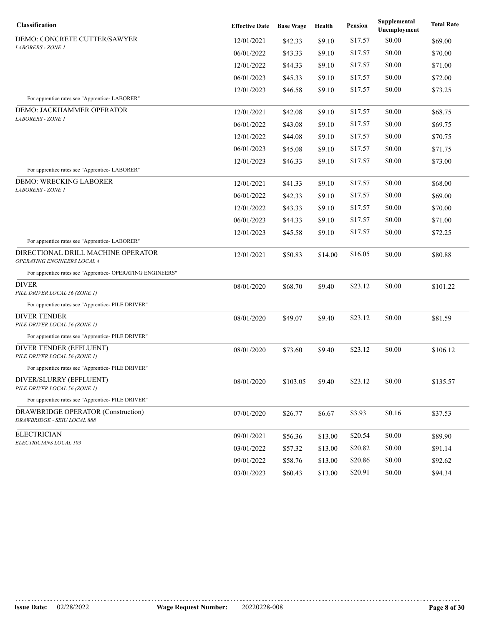| Classification                                                    | <b>Effective Date</b> | <b>Base Wage</b> | Health  | Pension | Supplemental<br>Unemployment | <b>Total Rate</b> |
|-------------------------------------------------------------------|-----------------------|------------------|---------|---------|------------------------------|-------------------|
| DEMO: CONCRETE CUTTER/SAWYER                                      | 12/01/2021            | \$42.33          | \$9.10  | \$17.57 | \$0.00                       | \$69.00           |
| <i>LABORERS - ZONE 1</i>                                          | 06/01/2022            | \$43.33          | \$9.10  | \$17.57 | \$0.00                       | \$70.00           |
|                                                                   | 12/01/2022            | \$44.33          | \$9.10  | \$17.57 | \$0.00                       | \$71.00           |
|                                                                   | 06/01/2023            | \$45.33          | \$9.10  | \$17.57 | \$0.00                       | \$72.00           |
|                                                                   | 12/01/2023            | \$46.58          | \$9.10  | \$17.57 | \$0.00                       | \$73.25           |
| For apprentice rates see "Apprentice-LABORER"                     |                       |                  |         |         |                              |                   |
| DEMO: JACKHAMMER OPERATOR<br><b>LABORERS - ZONE I</b>             | 12/01/2021            | \$42.08          | \$9.10  | \$17.57 | \$0.00                       | \$68.75           |
|                                                                   | 06/01/2022            | \$43.08          | \$9.10  | \$17.57 | \$0.00                       | \$69.75           |
|                                                                   | 12/01/2022            | \$44.08          | \$9.10  | \$17.57 | \$0.00                       | \$70.75           |
|                                                                   | 06/01/2023            | \$45.08          | \$9.10  | \$17.57 | \$0.00                       | \$71.75           |
|                                                                   | 12/01/2023            | \$46.33          | \$9.10  | \$17.57 | \$0.00                       | \$73.00           |
| For apprentice rates see "Apprentice-LABORER"                     |                       |                  |         |         |                              |                   |
| DEMO: WRECKING LABORER<br><b>LABORERS - ZONE I</b>                | 12/01/2021            | \$41.33          | \$9.10  | \$17.57 | \$0.00                       | \$68.00           |
|                                                                   | 06/01/2022            | \$42.33          | \$9.10  | \$17.57 | \$0.00                       | \$69.00           |
|                                                                   | 12/01/2022            | \$43.33          | \$9.10  | \$17.57 | \$0.00                       | \$70.00           |
|                                                                   | 06/01/2023            | \$44.33          | \$9.10  | \$17.57 | \$0.00                       | \$71.00           |
|                                                                   | 12/01/2023            | \$45.58          | \$9.10  | \$17.57 | \$0.00                       | \$72.25           |
| For apprentice rates see "Apprentice-LABORER"                     |                       |                  |         |         |                              |                   |
| DIRECTIONAL DRILL MACHINE OPERATOR<br>OPERATING ENGINEERS LOCAL 4 | 12/01/2021            | \$50.83          | \$14.00 | \$16.05 | \$0.00                       | \$80.88           |
| For apprentice rates see "Apprentice- OPERATING ENGINEERS"        |                       |                  |         |         |                              |                   |
| <b>DIVER</b><br>PILE DRIVER LOCAL 56 (ZONE 1)                     | 08/01/2020            | \$68.70          | \$9.40  | \$23.12 | \$0.00                       | \$101.22          |
| For apprentice rates see "Apprentice- PILE DRIVER"                |                       |                  |         |         |                              |                   |
| <b>DIVER TENDER</b><br>PILE DRIVER LOCAL 56 (ZONE 1)              | 08/01/2020            | \$49.07          | \$9.40  | \$23.12 | \$0.00                       | \$81.59           |
| For apprentice rates see "Apprentice- PILE DRIVER"                |                       |                  |         |         |                              |                   |
| DIVER TENDER (EFFLUENT)<br>PILE DRIVER LOCAL 56 (ZONE 1)          | 08/01/2020            | \$73.60          | \$9.40  | \$23.12 | \$0.00                       | \$106.12          |
| For apprentice rates see "Apprentice- PILE DRIVER"                |                       |                  |         |         |                              |                   |
| DIVER/SLURRY (EFFLUENT)<br>PILE DRIVER LOCAL 56 (ZONE 1)          | 08/01/2020            | \$103.05         | \$9.40  | \$23.12 | \$0.00                       | \$135.57          |
| For apprentice rates see "Apprentice- PILE DRIVER"                |                       |                  |         |         |                              |                   |
| DRAWBRIDGE OPERATOR (Construction)<br>DRAWBRIDGE - SEIU LOCAL 888 | 07/01/2020            | \$26.77          | \$6.67  | \$3.93  | \$0.16                       | \$37.53           |
| <b>ELECTRICIAN</b><br>ELECTRICIANS LOCAL 103                      | 09/01/2021            | \$56.36          | \$13.00 | \$20.54 | \$0.00                       | \$89.90           |
|                                                                   | 03/01/2022            | \$57.32          | \$13.00 | \$20.82 | \$0.00                       | \$91.14           |
|                                                                   | 09/01/2022            | \$58.76          | \$13.00 | \$20.86 | \$0.00                       | \$92.62           |
|                                                                   | 03/01/2023            | \$60.43          | \$13.00 | \$20.91 | \$0.00                       | \$94.34           |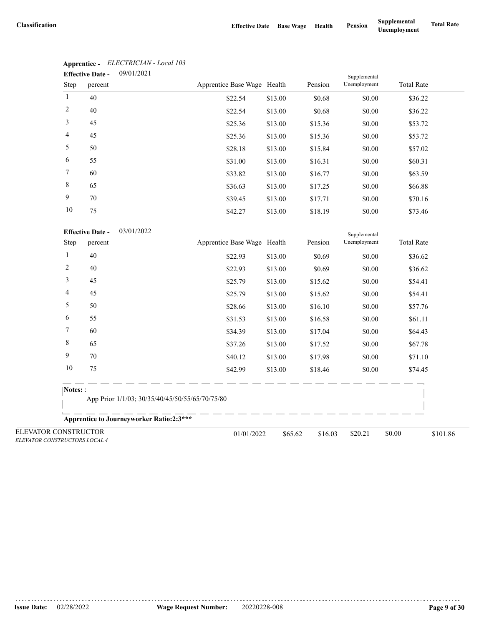|                | 09/01/2021<br><b>Effective Date -</b> |                             |         |         |              |                   |
|----------------|---------------------------------------|-----------------------------|---------|---------|--------------|-------------------|
| Step           | percent                               | Apprentice Base Wage Health |         | Pension | Unemployment | <b>Total Rate</b> |
| $\mathbf{1}$   | 40                                    | \$22.54                     | \$13.00 | \$0.68  | \$0.00       | \$36.22           |
| 2              | 40                                    | \$22.54                     | \$13.00 | \$0.68  | \$0.00       | \$36.22           |
| 3              | 45                                    | \$25.36                     | \$13.00 | \$15.36 | \$0.00       | \$53.72           |
| $\overline{4}$ | 45                                    | \$25.36                     | \$13.00 | \$15.36 | \$0.00       | \$53.72           |
| 5              | 50                                    | \$28.18                     | \$13.00 | \$15.84 | \$0.00       | \$57.02           |
| 6              | 55                                    | \$31.00                     | \$13.00 | \$16.31 | \$0.00       | \$60.31           |
| $\tau$         | 60                                    | \$33.82                     | \$13.00 | \$16.77 | \$0.00       | \$63.59           |
| 8              | 65                                    | \$36.63                     | \$13.00 | \$17.25 | \$0.00       | \$66.88           |
| 9              | 70                                    | \$39.45                     | \$13.00 | \$17.71 | \$0.00       | \$70.16           |
| 10             | 75                                    | \$42.27                     | \$13.00 | \$18.19 | \$0.00       | \$73.46           |

# **Apprentice -** *ELECTRICIAN - Local 103*

| <b>Effective Date -</b> | 03/01/2022 |
|-------------------------|------------|
|-------------------------|------------|

|                                                       | <b>Effective Date -</b> | 03/01/2022                                      |         |         |              |                    |
|-------------------------------------------------------|-------------------------|-------------------------------------------------|---------|---------|--------------|--------------------|
| Step                                                  | percent                 | Apprentice Base Wage Health                     |         | Pension | Unemployment | <b>Total Rate</b>  |
| 1                                                     | 40                      | \$22.93                                         | \$13.00 | \$0.69  | \$0.00       | \$36.62            |
| $\overline{c}$                                        | 40                      | \$22.93                                         | \$13.00 | \$0.69  | \$0.00       | \$36.62            |
| 3                                                     | 45                      | \$25.79                                         | \$13.00 | \$15.62 | \$0.00       | \$54.41            |
| 4                                                     | 45                      | \$25.79                                         | \$13.00 | \$15.62 | \$0.00       | \$54.41            |
| 5                                                     | 50                      | \$28.66                                         | \$13.00 | \$16.10 | \$0.00       | \$57.76            |
| 6                                                     | 55                      | \$31.53                                         | \$13.00 | \$16.58 | \$0.00       | \$61.11            |
| 7                                                     | 60                      | \$34.39                                         | \$13.00 | \$17.04 | \$0.00       | \$64.43            |
| 8                                                     | 65                      | \$37.26                                         | \$13.00 | \$17.52 | \$0.00       | \$67.78            |
| 9                                                     | 70                      | \$40.12                                         | \$13.00 | \$17.98 | \$0.00       | \$71.10            |
| 10                                                    | 75                      | \$42.99                                         | \$13.00 | \$18.46 | \$0.00       | \$74.45            |
| Notes: :                                              |                         |                                                 |         |         |              |                    |
|                                                       |                         | App Prior 1/1/03; 30/35/40/45/50/55/65/70/75/80 |         |         |              |                    |
|                                                       |                         | <b>Apprentice to Journeyworker Ratio:2:3***</b> |         |         |              |                    |
| ELEVATOR CONSTRUCTOR<br>ELEVATOR CONSTRUCTORS LOCAL 4 |                         | 01/01/2022                                      | \$65.62 | \$16.03 | \$20.21      | \$0.00<br>\$101.86 |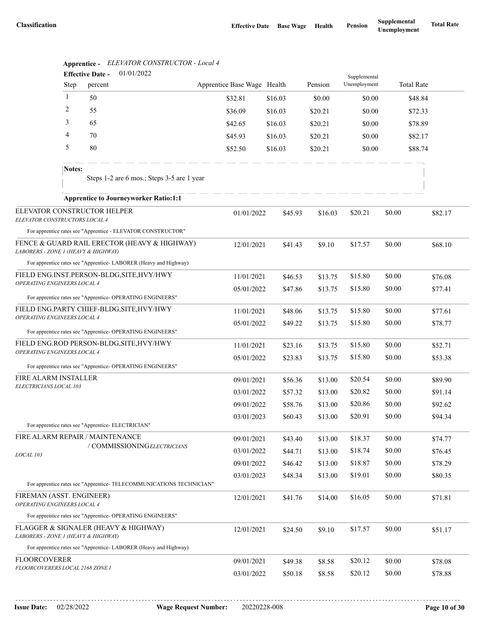|                                                               |              | 01/01/2022<br><b>Effective Date -</b>                                                                         |                             |                    |                    |              |                  |                   |                    |
|---------------------------------------------------------------|--------------|---------------------------------------------------------------------------------------------------------------|-----------------------------|--------------------|--------------------|--------------|------------------|-------------------|--------------------|
|                                                               | <b>Step</b>  | percent                                                                                                       | Apprentice Base Wage Health |                    | Pension            | Unemployment |                  | <b>Total Rate</b> |                    |
|                                                               | $\mathbf{1}$ | 50                                                                                                            | \$32.81                     | \$16.03            | \$0.00             | \$0.00       |                  | \$48.84           |                    |
|                                                               | 2            | 55                                                                                                            | \$36.09                     | \$16.03            | \$20.21            | \$0.00       |                  | \$72.33           |                    |
|                                                               | 3            | 65                                                                                                            | \$42.65                     | \$16.03            | \$20.21            | \$0.00       |                  | \$78.89           |                    |
|                                                               | 4            | 70                                                                                                            | \$45.93                     | \$16.03            | \$20.21            | \$0.00       |                  | \$82.17           |                    |
|                                                               | 5            | 80                                                                                                            | \$52.50                     | \$16.03            | \$20.21            | \$0.00       |                  | \$88.74           |                    |
|                                                               | Notes:       | Steps 1-2 are 6 mos.; Steps 3-5 are 1 year                                                                    |                             |                    |                    |              |                  |                   |                    |
|                                                               |              | <b>Apprentice to Journeyworker Ratio:1:1</b>                                                                  |                             |                    |                    |              |                  |                   |                    |
| ELEVATOR CONSTRUCTORS LOCAL 4                                 |              | ELEVATOR CONSTRUCTOR HELPER                                                                                   | 01/01/2022                  | \$45.93            | \$16.03            | \$20.21      | \$0.00           |                   | \$82.17            |
|                                                               |              | For apprentice rates see "Apprentice - ELEVATOR CONSTRUCTOR"                                                  |                             |                    |                    |              |                  |                   |                    |
| LABORERS - ZONE 1 (HEAVY & HIGHWAY)                           |              | FENCE & GUARD RAIL ERECTOR (HEAVY & HIGHWAY)                                                                  | 12/01/2021                  | \$41.43            | \$9.10             | \$17.57      | \$0.00           |                   | \$68.10            |
|                                                               |              | For apprentice rates see "Apprentice-LABORER (Heavy and Highway)<br>FIELD ENG.INST.PERSON-BLDG, SITE, HVY/HWY |                             |                    |                    | \$15.80      |                  |                   |                    |
| OPERATING ENGINEERS LOCAL 4                                   |              |                                                                                                               | 11/01/2021                  | \$46.53            | \$13.75            |              | \$0.00           |                   | \$76.08            |
|                                                               |              | For apprentice rates see "Apprentice- OPERATING ENGINEERS"                                                    | 05/01/2022                  | \$47.86            | \$13.75            | \$15.80      | \$0.00           |                   | \$77.41            |
| FIELD ENG.PARTY CHIEF-BLDG, SITE, HVY/HWY                     |              |                                                                                                               | 11/01/2021                  | \$48.06            | \$13.75            | \$15.80      | \$0.00           |                   | \$77.61            |
| OPERATING ENGINEERS LOCAL 4                                   |              |                                                                                                               | 05/01/2022                  | \$49.22            | \$13.75            | \$15.80      | \$0.00           |                   | \$78.77            |
|                                                               |              | For apprentice rates see "Apprentice- OPERATING ENGINEERS"                                                    |                             |                    |                    |              |                  |                   |                    |
| OPERATING ENGINEERS LOCAL 4                                   |              | FIELD ENG.ROD PERSON-BLDG, SITE, HVY/HWY                                                                      | 11/01/2021                  | \$23.16            | \$13.75            | \$15.80      | \$0.00           |                   | \$52.71            |
|                                                               |              | For apprentice rates see "Apprentice- OPERATING ENGINEERS"                                                    | 05/01/2022                  | \$23.83            | \$13.75            | \$15.80      | \$0.00           |                   | \$53.38            |
| FIRE ALARM INSTALLER                                          |              |                                                                                                               |                             |                    |                    | \$20.54      |                  |                   |                    |
| ELECTRICIANS LOCAL 103                                        |              |                                                                                                               | 09/01/2021<br>03/01/2022    | \$56.36            | \$13.00            | \$20.82      | \$0.00<br>\$0.00 |                   | \$89.90<br>\$91.14 |
|                                                               |              |                                                                                                               | 09/01/2022                  | \$57.32<br>\$58.76 | \$13.00<br>\$13.00 | \$20.86      | \$0.00           |                   | \$92.62            |
|                                                               |              |                                                                                                               | 03/01/2023                  | \$60.43            | \$13.00            | \$20.91      | \$0.00           |                   | \$94.34            |
|                                                               |              | For apprentice rates see "Apprentice- ELECTRICIAN"                                                            |                             |                    |                    |              |                  |                   |                    |
|                                                               |              | FIRE ALARM REPAIR / MAINTENANCE                                                                               | 09/01/2021                  | \$43.40            | \$13.00            | \$18.37      | \$0.00           |                   | \$74.77            |
| LOCAL 103                                                     |              | / COMMISSIONINGELECTRICIANS                                                                                   | 03/01/2022                  | \$44.71            | \$13.00            | \$18.74      | \$0.00           |                   | \$76.45            |
|                                                               |              |                                                                                                               | 09/01/2022                  | \$46.42            | \$13.00            | \$18.87      | \$0.00           |                   | \$78.29            |
|                                                               |              |                                                                                                               | 03/01/2023                  | \$48.34            | \$13.00            | \$19.01      | \$0.00           |                   | \$80.35            |
|                                                               |              | For apprentice rates see "Apprentice- TELECOMMUNICATIONS TECHNICIAN"                                          |                             |                    |                    |              |                  |                   |                    |
| FIREMAN (ASST. ENGINEER)<br>OPERATING ENGINEERS LOCAL 4       |              |                                                                                                               | 12/01/2021                  | \$41.76            | \$14.00            | \$16.05      | \$0.00           |                   | \$71.81            |
|                                                               |              | For apprentice rates see "Apprentice- OPERATING ENGINEERS"                                                    |                             |                    |                    |              |                  |                   |                    |
| LABORERS - ZONE 1 (HEAVY & HIGHWAY)                           |              | FLAGGER & SIGNALER (HEAVY & HIGHWAY)                                                                          | 12/01/2021                  | \$24.50            | \$9.10             | \$17.57      | \$0.00           |                   | \$51.17            |
|                                                               |              | For apprentice rates see "Apprentice-LABORER (Heavy and Highway)                                              |                             |                    |                    |              |                  |                   |                    |
| <b>FLOORCOVERER</b><br><i>FLOORCOVERERS LOCAL 2168 ZONE I</i> |              |                                                                                                               | 09/01/2021                  | \$49.38            | \$8.58             | \$20.12      | \$0.00           |                   | \$78.08            |
|                                                               |              |                                                                                                               | 03/01/2022                  | \$50.18            | \$8.58             | \$20.12      | \$0.00           |                   | \$78.88            |

### **Apprentice -** *ELEVATOR CONSTRUCTOR - Local 4*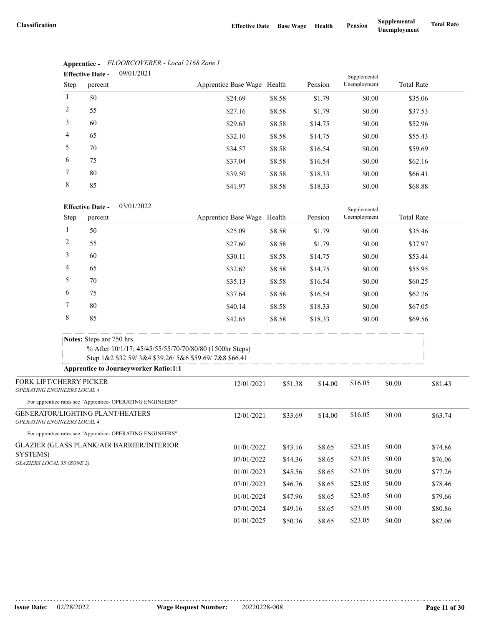|                | <b>Effective Date -</b> | 09/01/2021 |                             |        |         | Supplemental |                   |  |  |
|----------------|-------------------------|------------|-----------------------------|--------|---------|--------------|-------------------|--|--|
| Step           | percent                 |            | Apprentice Base Wage Health |        | Pension | Unemployment | <b>Total Rate</b> |  |  |
| $\mathbf{1}$   | 50                      |            | \$24.69                     | \$8.58 | \$1.79  | \$0.00       | \$35.06           |  |  |
| 2              | 55                      |            | \$27.16                     | \$8.58 | \$1.79  | \$0.00       | \$37.53           |  |  |
| 3              | 60                      |            | \$29.63                     | \$8.58 | \$14.75 | \$0.00       | \$52.96           |  |  |
| $\overline{4}$ | 65                      |            | \$32.10                     | \$8.58 | \$14.75 | \$0.00       | \$55.43           |  |  |
| 5              | 70                      |            | \$34.57                     | \$8.58 | \$16.54 | \$0.00       | \$59.69           |  |  |
| 6              | 75                      |            | \$37.04                     | \$8.58 | \$16.54 | \$0.00       | \$62.16           |  |  |
| 7              | 80                      |            | \$39.50                     | \$8.58 | \$18.33 | \$0.00       | \$66.41           |  |  |
| 8              | 85                      |            | \$41.97                     | \$8.58 | \$18.33 | \$0.00       | \$68.88           |  |  |

### **Apprentice -** *FLOORCOVERER - Local 2168 Zone I*

#### 03/01/2022 **Effective Date -**

|                                                                 | <b>Effective Date -</b><br>03/01/2022                      |                                                                                                                 |         |         | Supplemental |        |                   |
|-----------------------------------------------------------------|------------------------------------------------------------|-----------------------------------------------------------------------------------------------------------------|---------|---------|--------------|--------|-------------------|
| Step                                                            | percent                                                    | Apprentice Base Wage Health                                                                                     |         | Pension | Unemployment |        | <b>Total Rate</b> |
| 1                                                               | 50                                                         | \$25.09                                                                                                         | \$8.58  | \$1.79  | \$0.00       |        | \$35.46           |
| 2                                                               | 55                                                         | \$27.60                                                                                                         | \$8.58  | \$1.79  | \$0.00       |        | \$37.97           |
| 3                                                               | 60                                                         | \$30.11                                                                                                         | \$8.58  | \$14.75 | \$0.00       |        | \$53.44           |
| 4                                                               | 65                                                         | \$32.62                                                                                                         | \$8.58  | \$14.75 | \$0.00       |        | \$55.95           |
| 5                                                               | 70                                                         | \$35.13                                                                                                         | \$8.58  | \$16.54 | \$0.00       |        | \$60.25           |
| 6                                                               | 75                                                         | \$37.64                                                                                                         | \$8.58  | \$16.54 | \$0.00       |        | \$62.76           |
| 7                                                               | 80                                                         | \$40.14                                                                                                         | \$8.58  | \$18.33 | \$0.00       |        | \$67.05           |
| 8                                                               | 85                                                         | \$42.65                                                                                                         | \$8.58  | \$18.33 | \$0.00       |        | \$69.56           |
|                                                                 | <b>Notes:</b> Steps are 750 hrs.                           |                                                                                                                 |         |         |              |        |                   |
|                                                                 |                                                            | % After 10/1/17; 45/45/55/55/70/70/80/80 (1500hr Steps)<br>Step 1&2 \$32.59/3&4 \$39.26/5&6 \$59.69/7&8 \$66.41 |         |         |              |        |                   |
|                                                                 | <b>Apprentice to Journeyworker Ratio:1:1</b>               |                                                                                                                 |         |         |              |        |                   |
| FORK LIFT/CHERRY PICKER<br>OPERATING ENGINEERS LOCAL 4          |                                                            | 12/01/2021                                                                                                      | \$51.38 | \$14.00 | \$16.05      | \$0.00 | \$81.43           |
|                                                                 | For apprentice rates see "Apprentice- OPERATING ENGINEERS" |                                                                                                                 |         |         |              |        |                   |
| GENERATOR/LIGHTING PLANT/HEATERS<br>OPERATING ENGINEERS LOCAL 4 |                                                            | 12/01/2021                                                                                                      | \$33.69 | \$14.00 | \$16.05      | \$0.00 | \$63.74           |
|                                                                 | For apprentice rates see "Apprentice- OPERATING ENGINEERS" |                                                                                                                 |         |         |              |        |                   |
| <b>GLAZIER (GLASS PLANK/AIR BARRIER/INTERIOR</b>                |                                                            | 01/01/2022                                                                                                      | \$43.16 | \$8.65  | \$23.05      | \$0.00 | \$74.86           |
| SYSTEMS)<br>GLAZIERS LOCAL 35 (ZONE 2)                          |                                                            | 07/01/2022                                                                                                      | \$44.36 | \$8.65  | \$23.05      | \$0.00 | \$76.06           |
|                                                                 |                                                            | 01/01/2023                                                                                                      | \$45.56 | \$8.65  | \$23.05      | \$0.00 | \$77.26           |
|                                                                 |                                                            | 07/01/2023                                                                                                      | \$46.76 | \$8.65  | \$23.05      | \$0.00 | \$78.46           |
|                                                                 |                                                            | 01/01/2024                                                                                                      | \$47.96 | \$8.65  | \$23.05      | \$0.00 | \$79.66           |
|                                                                 |                                                            | 07/01/2024                                                                                                      | \$49.16 | \$8.65  | \$23.05      | \$0.00 | \$80.86           |
|                                                                 |                                                            | 01/01/2025                                                                                                      | \$50.36 | \$8.65  | \$23.05      | \$0.00 | \$82.06           |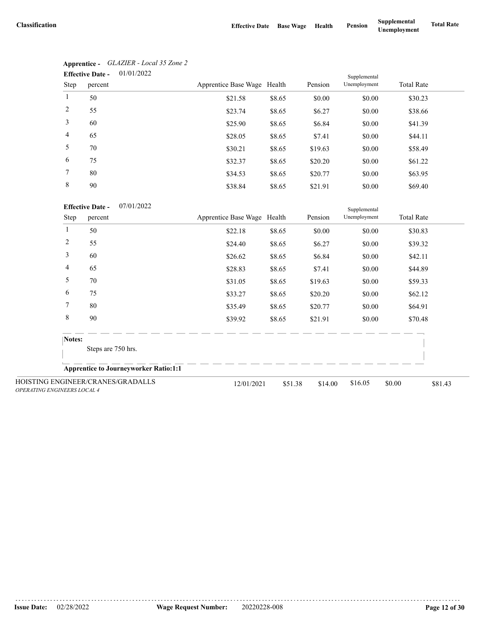|                 | 01/01/2022<br><b>Effective Date -</b> | Supplemental                |        |         |              |                   |
|-----------------|---------------------------------------|-----------------------------|--------|---------|--------------|-------------------|
| Step            | percent                               | Apprentice Base Wage Health |        | Pension | Unemployment | <b>Total Rate</b> |
| 1               | 50                                    | \$21.58                     | \$8.65 | \$0.00  | \$0.00       | \$30.23           |
| 2               | 55                                    | \$23.74                     | \$8.65 | \$6.27  | \$0.00       | \$38.66           |
| 3               | 60                                    | \$25.90                     | \$8.65 | \$6.84  | \$0.00       | \$41.39           |
| $\overline{4}$  | 65                                    | \$28.05                     | \$8.65 | \$7.41  | \$0.00       | \$44.11           |
| 5               | 70                                    | \$30.21                     | \$8.65 | \$19.63 | \$0.00       | \$58.49           |
| 6               | 75                                    | \$32.37                     | \$8.65 | \$20.20 | \$0.00       | \$61.22           |
| $7\phantom{.0}$ | 80                                    | \$34.53                     | \$8.65 | \$20.77 | \$0.00       | \$63.95           |
| 8               | 90                                    | \$38.84                     | \$8.65 | \$21.91 | \$0.00       | \$69.40           |

| Apprentice -            | GLAZIER - Local 35 Zone 2 |
|-------------------------|---------------------------|
| <b>Effective Date -</b> | 01/01/2022                |

07/01/2022 **Effective Date -**

|                             |        | <b>Effective Date -</b><br>07/01/2022        |                             |         |         | Supplemental |                   |         |
|-----------------------------|--------|----------------------------------------------|-----------------------------|---------|---------|--------------|-------------------|---------|
|                             | Step   | percent                                      | Apprentice Base Wage Health |         | Pension | Unemployment | <b>Total Rate</b> |         |
| 1                           |        | 50                                           | \$22.18                     | \$8.65  | \$0.00  | \$0.00       | \$30.83           |         |
|                             | 2      | 55                                           | \$24.40                     | \$8.65  | \$6.27  | \$0.00       | \$39.32           |         |
|                             | 3      | 60                                           | \$26.62                     | \$8.65  | \$6.84  | \$0.00       | \$42.11           |         |
|                             | 4      | 65                                           | \$28.83                     | \$8.65  | \$7.41  | \$0.00       | \$44.89           |         |
|                             | 5      | 70                                           | \$31.05                     | \$8.65  | \$19.63 | \$0.00       | \$59.33           |         |
|                             | 6      | 75                                           | \$33.27                     | \$8.65  | \$20.20 | \$0.00       | \$62.12           |         |
|                             | 7      | 80                                           | \$35.49                     | \$8.65  | \$20.77 | \$0.00       | \$64.91           |         |
|                             | 8      | 90                                           | \$39.92                     | \$8.65  | \$21.91 | \$0.00       | \$70.48           |         |
|                             | Notes: |                                              |                             |         |         |              |                   |         |
|                             |        | Steps are 750 hrs.                           |                             |         |         |              |                   |         |
|                             |        | <b>Apprentice to Journeyworker Ratio:1:1</b> |                             |         |         |              |                   |         |
| OPERATING ENGINEERS LOCAL 4 |        | HOISTING ENGINEER/CRANES/GRADALLS            | 12/01/2021                  | \$51.38 | \$14.00 | \$16.05      | \$0.00            | \$81.43 |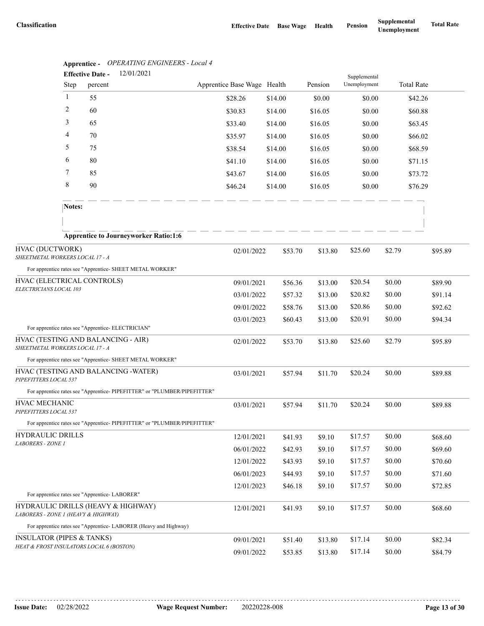|                                                                           | Apprentice - | <b>Effective Date -</b> | <i><b>OPERATING ENGINEERS - LOCAL 4</b></i><br>12/01/2021                |                             |         |         |         |                              |        |                   |         |
|---------------------------------------------------------------------------|--------------|-------------------------|--------------------------------------------------------------------------|-----------------------------|---------|---------|---------|------------------------------|--------|-------------------|---------|
|                                                                           | Step         | percent                 |                                                                          | Apprentice Base Wage Health |         |         | Pension | Supplemental<br>Unemployment |        | <b>Total Rate</b> |         |
|                                                                           | -1           | 55                      |                                                                          | \$28.26                     | \$14.00 |         | \$0.00  | \$0.00                       |        | \$42.26           |         |
|                                                                           | 2            | 60                      |                                                                          | \$30.83                     | \$14.00 |         | \$16.05 | \$0.00                       |        | \$60.88           |         |
|                                                                           | 3            | 65                      |                                                                          | \$33.40                     | \$14.00 |         | \$16.05 | \$0.00                       |        | \$63.45           |         |
|                                                                           | 4            | 70                      |                                                                          | \$35.97                     | \$14.00 |         | \$16.05 | \$0.00                       |        | \$66.02           |         |
|                                                                           | 5            | 75                      |                                                                          | \$38.54                     | \$14.00 |         | \$16.05 | \$0.00                       |        | \$68.59           |         |
|                                                                           | 6            | 80                      |                                                                          | \$41.10                     | \$14.00 |         | \$16.05 | \$0.00                       |        | \$71.15           |         |
|                                                                           | 7            | 85                      |                                                                          | \$43.67                     | \$14.00 |         | \$16.05 | \$0.00                       |        | \$73.72           |         |
|                                                                           | 8            | 90                      |                                                                          | \$46.24                     | \$14.00 |         | \$16.05 | \$0.00                       |        | \$76.29           |         |
|                                                                           | Notes:       |                         |                                                                          |                             |         |         |         |                              |        |                   |         |
|                                                                           |              |                         |                                                                          |                             |         |         |         |                              |        |                   |         |
|                                                                           |              |                         | <b>Apprentice to Journeyworker Ratio:1:6</b>                             |                             |         |         |         |                              |        |                   |         |
| HVAC (DUCTWORK)<br>SHEETMETAL WORKERS LOCAL 17 - A                        |              |                         |                                                                          | 02/01/2022                  | \$53.70 |         | \$13.80 | \$25.60                      | \$2.79 |                   | \$95.89 |
|                                                                           |              |                         | For apprentice rates see "Apprentice- SHEET METAL WORKER"                |                             |         |         |         |                              |        |                   |         |
| HVAC (ELECTRICAL CONTROLS)                                                |              |                         |                                                                          | 09/01/2021                  | \$56.36 |         | \$13.00 | \$20.54                      | \$0.00 |                   | \$89.90 |
| ELECTRICIANS LOCAL 103                                                    |              |                         |                                                                          | 03/01/2022                  | \$57.32 |         | \$13.00 | \$20.82                      | \$0.00 |                   | \$91.14 |
|                                                                           |              |                         |                                                                          | 09/01/2022                  | \$58.76 |         | \$13.00 | \$20.86                      | \$0.00 |                   | \$92.62 |
|                                                                           |              |                         |                                                                          | 03/01/2023                  | \$60.43 |         | \$13.00 | \$20.91                      | \$0.00 |                   | \$94.34 |
| For apprentice rates see "Apprentice- ELECTRICIAN"                        |              |                         |                                                                          |                             |         |         |         |                              |        |                   |         |
| HVAC (TESTING AND BALANCING - AIR)<br>SHEETMETAL WORKERS LOCAL 17 - A     |              |                         |                                                                          | 02/01/2022                  |         | \$53.70 | \$13.80 | \$25.60                      | \$2.79 |                   | \$95.89 |
|                                                                           |              |                         | For apprentice rates see "Apprentice- SHEET METAL WORKER"                |                             |         |         |         |                              |        |                   |         |
| HVAC (TESTING AND BALANCING - WATER)<br>PIPEFITTERS LOCAL 537             |              |                         |                                                                          | 03/01/2021                  | \$57.94 |         | \$11.70 | \$20.24                      | \$0.00 |                   | \$89.88 |
|                                                                           |              |                         | For apprentice rates see "Apprentice-PIPEFITTER" or "PLUMBER/PIPEFITTER" |                             |         |         |         |                              |        |                   |         |
| HVAC MECHANIC<br>PIPEFITTERS LOCAL 537                                    |              |                         |                                                                          | 03/01/2021                  | \$57.94 |         | \$11.70 | \$20.24                      | \$0.00 |                   | \$89.88 |
|                                                                           |              |                         | For apprentice rates see "Apprentice-PIPEFITTER" or "PLUMBER/PIPEFITTER" |                             |         |         |         |                              |        |                   |         |
| <b>HYDRAULIC DRILLS</b>                                                   |              |                         |                                                                          | 12/01/2021                  | \$41.93 |         | \$9.10  | \$17.57                      | \$0.00 |                   | \$68.60 |
| LABORERS - ZONE 1                                                         |              |                         |                                                                          | 06/01/2022                  | \$42.93 |         | \$9.10  | \$17.57                      | \$0.00 |                   | \$69.60 |
|                                                                           |              |                         |                                                                          | 12/01/2022                  | \$43.93 |         | \$9.10  | \$17.57                      | \$0.00 |                   | \$70.60 |
|                                                                           |              |                         |                                                                          | 06/01/2023                  | \$44.93 |         | \$9.10  | \$17.57                      | \$0.00 |                   | \$71.60 |
|                                                                           |              |                         |                                                                          | 12/01/2023                  | \$46.18 |         | \$9.10  | \$17.57                      | \$0.00 |                   | \$72.85 |
| For apprentice rates see "Apprentice-LABORER"                             |              |                         |                                                                          |                             |         |         |         |                              |        |                   |         |
| HYDRAULIC DRILLS (HEAVY & HIGHWAY)<br>LABORERS - ZONE 1 (HEAVY & HIGHWAY) |              |                         |                                                                          | 12/01/2021                  | \$41.93 |         | \$9.10  | \$17.57                      | \$0.00 |                   | \$68.60 |
|                                                                           |              |                         | For apprentice rates see "Apprentice- LABORER (Heavy and Highway)        |                             |         |         |         |                              |        |                   |         |
| <b>INSULATOR (PIPES &amp; TANKS)</b>                                      |              |                         |                                                                          | 09/01/2021                  | \$51.40 |         | \$13.80 | \$17.14                      | \$0.00 |                   | \$82.34 |
| HEAT & FROST INSULATORS LOCAL 6 (BOSTON)                                  |              |                         |                                                                          | 09/01/2022                  | \$53.85 |         | \$13.80 | \$17.14                      | \$0.00 |                   | \$84.79 |

**Apprentice -** *OPERATING ENGINEERS - Local 4*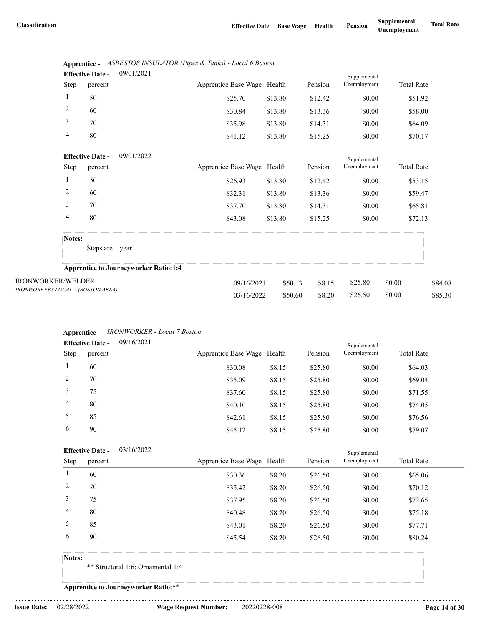|      | <b>Effective Date -</b> | 09/01/2021 |                             |         |         | Supplemental |                   |  |
|------|-------------------------|------------|-----------------------------|---------|---------|--------------|-------------------|--|
| Step | percent                 |            | Apprentice Base Wage Health |         | Pension | Unemployment | <b>Total Rate</b> |  |
|      | 50                      |            | \$25.70                     | \$13.80 | \$12.42 | \$0.00       | \$51.92           |  |
| 2    | 60                      |            | \$30.84                     | \$13.80 | \$13.36 | \$0.00       | \$58.00           |  |
|      | 70                      |            | \$35.98                     | \$13.80 | \$14.31 | \$0.00       | \$64.09           |  |
| 4    | 80                      |            | \$41.12                     | \$13.80 | \$15.25 | \$0.00       | \$70.17           |  |

|                            | Apprentice - ASBESTOS INSULATOR (Pipes & Tanks) - Local 6 Boston |
|----------------------------|------------------------------------------------------------------|
| $E^{ee}$ $\cdots$ $E^{ee}$ | 0.0101/2021                                                      |

|                                   | 09/01/2022<br><b>Effective Date -</b>        |                             |         |         | Supplemental |                   |         |
|-----------------------------------|----------------------------------------------|-----------------------------|---------|---------|--------------|-------------------|---------|
| Step                              | percent                                      | Apprentice Base Wage Health |         | Pension | Unemployment | <b>Total Rate</b> |         |
|                                   | 50                                           | \$26.93                     | \$13.80 | \$12.42 | \$0.00       | \$53.15           |         |
| 2                                 | 60                                           | \$32.31                     | \$13.80 | \$13.36 | \$0.00       | \$59.47           |         |
| 3                                 | 70                                           | \$37.70                     | \$13.80 | \$14.31 | \$0.00       | \$65.81           |         |
| 4                                 | 80                                           | \$43.08                     | \$13.80 | \$15.25 | \$0.00       | \$72.13           |         |
| Notes:                            |                                              |                             |         |         |              |                   |         |
|                                   | Steps are 1 year                             |                             |         |         |              |                   |         |
|                                   | <b>Apprentice to Journeyworker Ratio:1:4</b> |                             |         |         |              |                   |         |
| <b>IRONWORKER/WELDER</b>          |                                              | 09/16/2021                  | \$50.13 | \$8.15  | \$25.80      | \$0.00            | \$84.08 |
| IRONWORKERS LOCAL 7 (BOSTON AREA) |                                              | 03/16/2022                  | \$50.60 | \$8.20  | \$26.50      | \$0.00            | \$85.30 |

### **Apprentice -** *IRONWORKER - Local 7 Boston*

|      | <b>Effective Date -</b> | 09/16/2021 |                             |        |         | Supplemental |                   |  |
|------|-------------------------|------------|-----------------------------|--------|---------|--------------|-------------------|--|
| Step | percent                 |            | Apprentice Base Wage Health |        | Pension | Unemployment | <b>Total Rate</b> |  |
| 1    | 60                      |            | \$30.08                     | \$8.15 | \$25.80 | \$0.00       | \$64.03           |  |
| 2    | 70                      |            | \$35.09                     | \$8.15 | \$25.80 | \$0.00       | \$69.04           |  |
| 3    | 75                      |            | \$37.60                     | \$8.15 | \$25.80 | \$0.00       | \$71.55           |  |
| 4    | 80                      |            | \$40.10                     | \$8.15 | \$25.80 | \$0.00       | \$74.05           |  |
| 5    | 85                      |            | \$42.61                     | \$8.15 | \$25.80 | \$0.00       | \$76.56           |  |
| 6    | 90                      |            | \$45.12                     | \$8.15 | \$25.80 | \$0.00       | \$79.07           |  |

|        | <b>Effective Date -</b> | 03/16/2022                          |                             |        |         | Supplemental |                   |
|--------|-------------------------|-------------------------------------|-----------------------------|--------|---------|--------------|-------------------|
| Step   | percent                 |                                     | Apprentice Base Wage Health |        | Pension | Unemployment | <b>Total Rate</b> |
|        | 60                      |                                     | \$30.36                     | \$8.20 | \$26.50 | \$0.00       | \$65.06           |
| 2      | 70                      |                                     | \$35.42                     | \$8.20 | \$26.50 | \$0.00       | \$70.12           |
| 3      | 75                      |                                     | \$37.95                     | \$8.20 | \$26.50 | \$0.00       | \$72.65           |
| 4      | 80                      |                                     | \$40.48                     | \$8.20 | \$26.50 | \$0.00       | \$75.18           |
| 5      | 85                      |                                     | \$43.01                     | \$8.20 | \$26.50 | \$0.00       | \$77.71           |
| 6      | 90                      |                                     | \$45.54                     | \$8.20 | \$26.50 | \$0.00       | \$80.24           |
| Notes: |                         |                                     |                             |        |         |              |                   |
|        |                         | $**$ Ctructural 1.6. Ornomantal 1.4 |                             |        |         |              |                   |

Structural 1:6; Ornamental 1:4

**Apprentice to Journeyworker Ratio:\*\***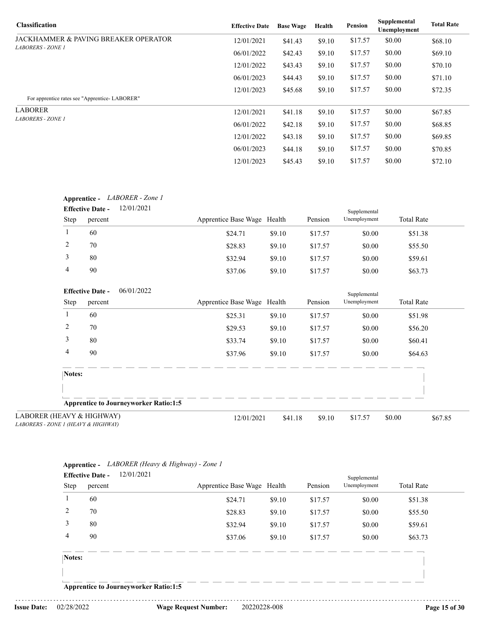| <b>Classification</b>                           | <b>Effective Date</b> | <b>Base Wage</b> | Health | <b>Pension</b> | Supplemental<br>Unemployment | <b>Total Rate</b> |
|-------------------------------------------------|-----------------------|------------------|--------|----------------|------------------------------|-------------------|
| <b>JACKHAMMER &amp; PAVING BREAKER OPERATOR</b> | 12/01/2021            | \$41.43          | \$9.10 | \$17.57        | \$0.00                       | \$68.10           |
| <b>LABORERS - ZONE 1</b>                        | 06/01/2022            | \$42.43          | \$9.10 | \$17.57        | \$0.00                       | \$69.10           |
|                                                 | 12/01/2022            | \$43.43          | \$9.10 | \$17.57        | \$0.00                       | \$70.10           |
|                                                 | 06/01/2023            | \$44.43          | \$9.10 | \$17.57        | \$0.00                       | \$71.10           |
|                                                 | 12/01/2023            | \$45.68          | \$9.10 | \$17.57        | \$0.00                       | \$72.35           |
| For apprentice rates see "Apprentice-LABORER"   |                       |                  |        |                |                              |                   |
| <b>LABORER</b>                                  | 12/01/2021            | \$41.18          | \$9.10 | \$17.57        | \$0.00                       | \$67.85           |
| <i>LABORERS - ZONE 1</i>                        | 06/01/2022            | \$42.18          | \$9.10 | \$17.57        | \$0.00                       | \$68.85           |
|                                                 | 12/01/2022            | \$43.18          | \$9.10 | \$17.57        | \$0.00                       | \$69.85           |
|                                                 | 06/01/2023            | \$44.18          | \$9.10 | \$17.57        | \$0.00                       | \$70.85           |
|                                                 | 12/01/2023            | \$45.43          | \$9.10 | \$17.57        | \$0.00                       | \$72.10           |

|                | <b>Effective Date -</b> | 12/01/2021                                   |                             |        |         | Supplemental |                   |
|----------------|-------------------------|----------------------------------------------|-----------------------------|--------|---------|--------------|-------------------|
| Step           | percent                 |                                              | Apprentice Base Wage Health |        | Pension | Unemployment | <b>Total Rate</b> |
| -1             | 60                      |                                              | \$24.71                     | \$9.10 | \$17.57 | \$0.00       | \$51.38           |
| 2              | 70                      |                                              | \$28.83                     | \$9.10 | \$17.57 | \$0.00       | \$55.50           |
| 3              | 80                      |                                              | \$32.94                     | \$9.10 | \$17.57 | \$0.00       | \$59.61           |
| 4              | 90                      |                                              | \$37.06                     | \$9.10 | \$17.57 | \$0.00       | \$63.73           |
|                | <b>Effective Date -</b> | 06/01/2022                                   |                             |        |         | Supplemental |                   |
| Step           | percent                 |                                              | Apprentice Base Wage Health |        | Pension | Unemployment | <b>Total Rate</b> |
| 1              | 60                      |                                              | \$25.31                     | \$9.10 | \$17.57 | \$0.00       | \$51.98           |
| $\overline{c}$ | 70                      |                                              | \$29.53                     | \$9.10 | \$17.57 | \$0.00       | \$56.20           |
| 3              | 80                      |                                              | \$33.74                     | \$9.10 | \$17.57 | \$0.00       | \$60.41           |
| 4              | 90                      |                                              | \$37.96                     | \$9.10 | \$17.57 | \$0.00       | \$64.63           |
| Notes:         |                         |                                              |                             |        |         |              |                   |
|                |                         |                                              |                             |        |         |              |                   |
|                |                         | <b>Apprentice to Journeyworker Ratio:1:5</b> |                             |        |         |              |                   |

| <b>Step</b> | percent | Apprentice Base Wage Health |        | Pension | Unemployment | <b>Total Rate</b> |
|-------------|---------|-----------------------------|--------|---------|--------------|-------------------|
|             | 60      | \$24.71                     | \$9.10 | \$17.57 | \$0.00       | \$51.38           |
| 2           | 70      | \$28.83                     | \$9.10 | \$17.57 | \$0.00       | \$55.50           |
| 3           | 80      | \$32.94                     | \$9.10 | \$17.57 | \$0.00       | \$59.61           |
| 4           | 90      | \$37.06                     | \$9.10 | \$17.57 | \$0.00       | \$63.73           |
| Notes:      |         |                             |        |         |              |                   |
|             |         |                             |        |         |              |                   |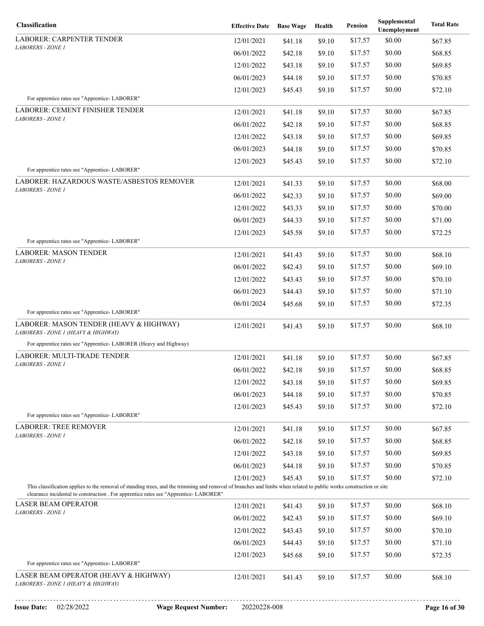|                                                                                      |                                                                                                | Health                                                                                                     | <b>Pension</b>                                                                         | Unemployment                                                   | <b>Total Rate</b>                                                                                                                                                                                                                        |
|--------------------------------------------------------------------------------------|------------------------------------------------------------------------------------------------|------------------------------------------------------------------------------------------------------------|----------------------------------------------------------------------------------------|----------------------------------------------------------------|------------------------------------------------------------------------------------------------------------------------------------------------------------------------------------------------------------------------------------------|
| 12/01/2021                                                                           | \$41.18                                                                                        | \$9.10                                                                                                     | \$17.57                                                                                | \$0.00                                                         | \$67.85                                                                                                                                                                                                                                  |
| 06/01/2022                                                                           | \$42.18                                                                                        | \$9.10                                                                                                     | \$17.57                                                                                | \$0.00                                                         | \$68.85                                                                                                                                                                                                                                  |
| 12/01/2022                                                                           | \$43.18                                                                                        | \$9.10                                                                                                     | \$17.57                                                                                | \$0.00                                                         | \$69.85                                                                                                                                                                                                                                  |
| 06/01/2023                                                                           | \$44.18                                                                                        | \$9.10                                                                                                     | \$17.57                                                                                | \$0.00                                                         | \$70.85                                                                                                                                                                                                                                  |
| 12/01/2023                                                                           | \$45.43                                                                                        | \$9.10                                                                                                     | \$17.57                                                                                | \$0.00                                                         | \$72.10                                                                                                                                                                                                                                  |
|                                                                                      |                                                                                                |                                                                                                            |                                                                                        |                                                                |                                                                                                                                                                                                                                          |
| 12/01/2021                                                                           | \$41.18                                                                                        | \$9.10                                                                                                     | \$17.57                                                                                | \$0.00                                                         | \$67.85                                                                                                                                                                                                                                  |
| 06/01/2022                                                                           | \$42.18                                                                                        | \$9.10                                                                                                     | \$17.57                                                                                | \$0.00                                                         | \$68.85                                                                                                                                                                                                                                  |
| 12/01/2022                                                                           | \$43.18                                                                                        | \$9.10                                                                                                     | \$17.57                                                                                | \$0.00                                                         | \$69.85                                                                                                                                                                                                                                  |
| 06/01/2023                                                                           | \$44.18                                                                                        | \$9.10                                                                                                     | \$17.57                                                                                | \$0.00                                                         | \$70.85                                                                                                                                                                                                                                  |
| 12/01/2023                                                                           | \$45.43                                                                                        | \$9.10                                                                                                     | \$17.57                                                                                | \$0.00                                                         | \$72.10                                                                                                                                                                                                                                  |
|                                                                                      |                                                                                                |                                                                                                            |                                                                                        |                                                                |                                                                                                                                                                                                                                          |
|                                                                                      |                                                                                                |                                                                                                            |                                                                                        |                                                                | \$68.00                                                                                                                                                                                                                                  |
|                                                                                      |                                                                                                |                                                                                                            |                                                                                        |                                                                | \$69.00                                                                                                                                                                                                                                  |
|                                                                                      |                                                                                                |                                                                                                            |                                                                                        |                                                                | \$70.00                                                                                                                                                                                                                                  |
|                                                                                      |                                                                                                |                                                                                                            |                                                                                        |                                                                | \$71.00                                                                                                                                                                                                                                  |
|                                                                                      |                                                                                                |                                                                                                            |                                                                                        |                                                                | \$72.25                                                                                                                                                                                                                                  |
|                                                                                      |                                                                                                |                                                                                                            |                                                                                        |                                                                | \$68.10                                                                                                                                                                                                                                  |
| 06/01/2022                                                                           |                                                                                                | \$9.10                                                                                                     | \$17.57                                                                                | \$0.00                                                         | \$69.10                                                                                                                                                                                                                                  |
| 12/01/2022                                                                           |                                                                                                |                                                                                                            | \$17.57                                                                                | \$0.00                                                         | \$70.10                                                                                                                                                                                                                                  |
| 06/01/2023                                                                           |                                                                                                |                                                                                                            | \$17.57                                                                                |                                                                | \$71.10                                                                                                                                                                                                                                  |
|                                                                                      |                                                                                                |                                                                                                            | \$17.57                                                                                | \$0.00                                                         | \$72.35                                                                                                                                                                                                                                  |
|                                                                                      |                                                                                                |                                                                                                            |                                                                                        |                                                                |                                                                                                                                                                                                                                          |
| 12/01/2021                                                                           | \$41.43                                                                                        | \$9.10                                                                                                     | \$17.57                                                                                | \$0.00                                                         | \$68.10                                                                                                                                                                                                                                  |
|                                                                                      |                                                                                                |                                                                                                            |                                                                                        |                                                                |                                                                                                                                                                                                                                          |
| 12/01/2021                                                                           | \$41.18                                                                                        | \$9.10                                                                                                     | \$17.57                                                                                | \$0.00                                                         | \$67.85                                                                                                                                                                                                                                  |
| 06/01/2022                                                                           | \$42.18                                                                                        | \$9.10                                                                                                     | \$17.57                                                                                | \$0.00                                                         | \$68.85                                                                                                                                                                                                                                  |
| 12/01/2022                                                                           | \$43.18                                                                                        | \$9.10                                                                                                     | \$17.57                                                                                | \$0.00                                                         | \$69.85                                                                                                                                                                                                                                  |
| 06/01/2023                                                                           | \$44.18                                                                                        | \$9.10                                                                                                     | \$17.57                                                                                | \$0.00                                                         | \$70.85                                                                                                                                                                                                                                  |
| 12/01/2023                                                                           | \$45.43                                                                                        | \$9.10                                                                                                     | \$17.57                                                                                | \$0.00                                                         | \$72.10                                                                                                                                                                                                                                  |
|                                                                                      |                                                                                                |                                                                                                            |                                                                                        |                                                                |                                                                                                                                                                                                                                          |
| 12/01/2021                                                                           | \$41.18                                                                                        | \$9.10                                                                                                     | \$17.57                                                                                | \$0.00                                                         | \$67.85                                                                                                                                                                                                                                  |
| 06/01/2022                                                                           | \$42.18                                                                                        | \$9.10                                                                                                     | \$17.57                                                                                | \$0.00                                                         | \$68.85                                                                                                                                                                                                                                  |
| 12/01/2022                                                                           | \$43.18                                                                                        | \$9.10                                                                                                     | \$17.57                                                                                | \$0.00                                                         | \$69.85                                                                                                                                                                                                                                  |
| 06/01/2023                                                                           | \$44.18                                                                                        | \$9.10                                                                                                     | \$17.57                                                                                | \$0.00                                                         | \$70.85                                                                                                                                                                                                                                  |
| 12/01/2023                                                                           | \$45.43                                                                                        | \$9.10                                                                                                     | \$17.57                                                                                | \$0.00                                                         | \$72.10                                                                                                                                                                                                                                  |
| clearance incidental to construction . For apprentice rates see "Apprentice-LABORER" |                                                                                                |                                                                                                            |                                                                                        |                                                                |                                                                                                                                                                                                                                          |
| 12/01/2021                                                                           | \$41.43                                                                                        | \$9.10                                                                                                     | \$17.57                                                                                | \$0.00                                                         | \$68.10                                                                                                                                                                                                                                  |
| 06/01/2022                                                                           | \$42.43                                                                                        | \$9.10                                                                                                     | \$17.57                                                                                | \$0.00                                                         | \$69.10                                                                                                                                                                                                                                  |
| 12/01/2022                                                                           | \$43.43                                                                                        | \$9.10                                                                                                     | \$17.57                                                                                | \$0.00                                                         | \$70.10                                                                                                                                                                                                                                  |
| 06/01/2023                                                                           | \$44.43                                                                                        | \$9.10                                                                                                     | \$17.57                                                                                | \$0.00                                                         | \$71.10                                                                                                                                                                                                                                  |
| 12/01/2023                                                                           | \$45.68                                                                                        | \$9.10                                                                                                     | \$17.57                                                                                | \$0.00                                                         | \$72.35                                                                                                                                                                                                                                  |
|                                                                                      |                                                                                                |                                                                                                            |                                                                                        |                                                                |                                                                                                                                                                                                                                          |
| 12/01/2021                                                                           | \$41.43                                                                                        | \$9.10                                                                                                     | \$17.57                                                                                | \$0.00                                                         | \$68.10                                                                                                                                                                                                                                  |
|                                                                                      | 12/01/2021<br>06/01/2022<br>12/01/2022<br>06/01/2023<br>12/01/2023<br>12/01/2021<br>06/01/2024 | \$41.33<br>\$42.33<br>\$43.33<br>\$44.33<br>\$45.58<br>\$41.43<br>\$42.43<br>\$43.43<br>\$44.43<br>\$45.68 | \$9.10<br>\$9.10<br>\$9.10<br>\$9.10<br>\$9.10<br>\$9.10<br>\$9.10<br>\$9.10<br>\$9.10 | \$17.57<br>\$17.57<br>\$17.57<br>\$17.57<br>\$17.57<br>\$17.57 | \$0.00<br>\$0.00<br>\$0.00<br>\$0.00<br>\$0.00<br>\$0.00<br>\$0.00<br>This classification applies to the removal of standing trees, and the trimming and removal of branches and limbs when related to public works construction or site |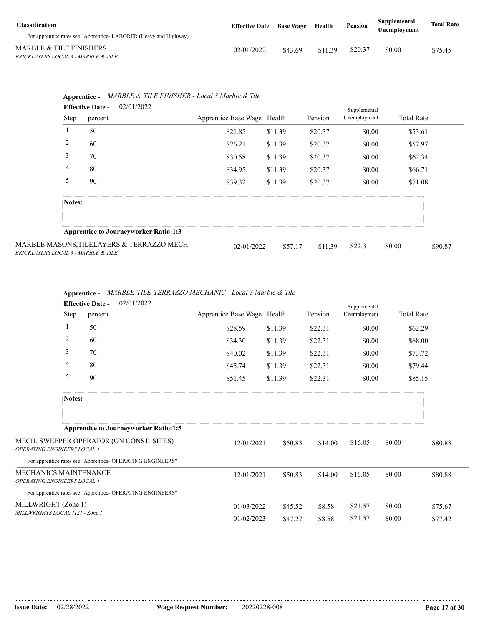| <b>Classification</b>                                            | <b>Effective Date</b> Base Wage |         | Health  | Pension | Supplemental<br><b>Unemployment</b> | <b>Total Rate</b> |
|------------------------------------------------------------------|---------------------------------|---------|---------|---------|-------------------------------------|-------------------|
| For apprentice rates see "Apprentice-LABORER (Heavy and Highway) |                                 |         |         |         |                                     |                   |
| MARBLE & TILE FINISHERS                                          | 02/01/2022                      | \$43.69 | \$11.39 | \$20.37 | \$0.00                              | \$75.45           |
| BRICKLAYERS LOCAL 3 - MARBLE & TILE                              |                                 |         |         |         |                                     |                   |

|        | 02/01/2022<br><b>Effective Date -</b>        |                             |         |         | Supplemental |                   |         |
|--------|----------------------------------------------|-----------------------------|---------|---------|--------------|-------------------|---------|
| Step   | percent                                      | Apprentice Base Wage Health |         | Pension | Unemployment | <b>Total Rate</b> |         |
|        | 50                                           | \$21.85                     | \$11.39 | \$20.37 | \$0.00       | \$53.61           |         |
| 2      | 60                                           | \$26.21                     | \$11.39 | \$20.37 | \$0.00       | \$57.97           |         |
| 3      | 70                                           | \$30.58                     | \$11.39 | \$20.37 | \$0.00       | \$62.34           |         |
| 4      | 80                                           | \$34.95                     | \$11.39 | \$20.37 | \$0.00       | \$66.71           |         |
| 5      | 90                                           | \$39.32                     | \$11.39 | \$20.37 | \$0.00       | \$71.08           |         |
| Notes: |                                              |                             |         |         |              |                   |         |
|        |                                              |                             |         |         |              |                   |         |
|        | <b>Apprentice to Journeyworker Ratio:1:3</b> |                             |         |         |              |                   |         |
|        | SONS,TILELAYERS & TERRAZZO MECH              | 02/01/2022                  | \$57.17 | \$11.39 | \$22.31      | \$0.00            | \$90.87 |

MARBLE MAS *BRICKLAYERS LOCAL 3 - MARBLE & TILE*

|                                                             | 02/01/2022<br><b>Effective Date -</b>                      |                             |         |         |              |                   |         |  |
|-------------------------------------------------------------|------------------------------------------------------------|-----------------------------|---------|---------|--------------|-------------------|---------|--|
| Step                                                        | percent                                                    | Apprentice Base Wage Health |         | Pension | Unemployment | <b>Total Rate</b> |         |  |
|                                                             | 50                                                         | \$28.59                     | \$11.39 | \$22.31 | \$0.00       | \$62.29           |         |  |
| 2                                                           | 60                                                         | \$34.30                     | \$11.39 | \$22.31 | \$0.00       | \$68.00           |         |  |
| 3                                                           | 70                                                         | \$40.02                     | \$11.39 | \$22.31 | \$0.00       | \$73.72           |         |  |
| 4                                                           | 80                                                         | \$45.74                     | \$11.39 | \$22.31 | \$0.00       | \$79.44           |         |  |
| 5                                                           | 90                                                         | \$51.45                     | \$11.39 | \$22.31 | \$0.00       | \$85.15           |         |  |
| Notes:                                                      |                                                            |                             |         |         |              |                   |         |  |
|                                                             |                                                            |                             |         |         |              |                   |         |  |
|                                                             | <b>Apprentice to Journeyworker Ratio:1:5</b>               |                             |         |         |              |                   |         |  |
| <b>OPERATING ENGINEERS LOCAL 4</b>                          | MECH. SWEEPER OPERATOR (ON CONST. SITES)                   | 12/01/2021                  | \$50.83 | \$14.00 | \$16.05      | \$0.00            | \$80.88 |  |
|                                                             | For apprentice rates see "Apprentice- OPERATING ENGINEERS" |                             |         |         |              |                   |         |  |
| MECHANICS MAINTENANCE<br><b>OPERATING ENGINEERS LOCAL 4</b> |                                                            | 12/01/2021                  | \$50.83 | \$14.00 | \$16.05      | \$0.00            | \$80.88 |  |
|                                                             | For apprentice rates see "Apprentice- OPERATING ENGINEERS" |                             |         |         |              |                   |         |  |
| MILLWRIGHT (Zone 1)                                         |                                                            | 01/03/2022                  | \$45.52 | \$8.58  | \$21.57      | \$0.00            | \$75.67 |  |
| MILLWRIGHTS LOCAL 1121 - Zone 1                             |                                                            | 01/02/2023                  | \$47.27 | \$8.58  | \$21.57      | \$0.00            | \$77.42 |  |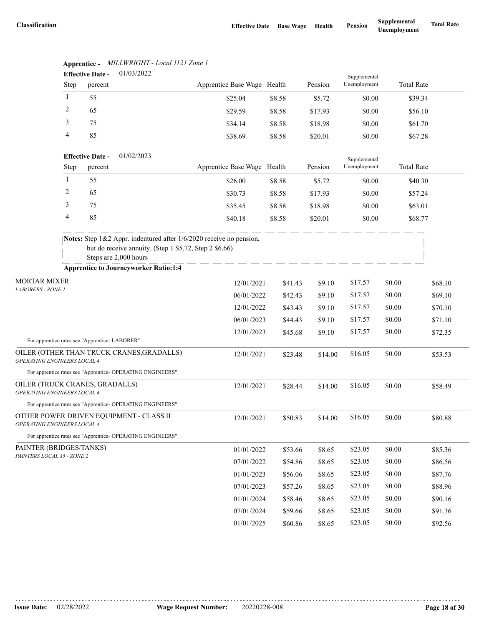|                                                               |              | <b>Effective Date -</b> | 01/03/2022                                                                                                                                             |                             |         |         | Supplemental |                   |         |
|---------------------------------------------------------------|--------------|-------------------------|--------------------------------------------------------------------------------------------------------------------------------------------------------|-----------------------------|---------|---------|--------------|-------------------|---------|
|                                                               | Step         | percent                 |                                                                                                                                                        | Apprentice Base Wage Health |         | Pension | Unemployment | <b>Total Rate</b> |         |
|                                                               | 1            | 55                      |                                                                                                                                                        | \$25.04                     | \$8.58  | \$5.72  | \$0.00       | \$39.34           |         |
|                                                               | 2            | 65                      |                                                                                                                                                        | \$29.59                     | \$8.58  | \$17.93 | \$0.00       | \$56.10           |         |
|                                                               | 3            | 75                      |                                                                                                                                                        | \$34.14                     | \$8.58  | \$18.98 | \$0.00       | \$61.70           |         |
|                                                               | 4            | 85                      |                                                                                                                                                        | \$38.69                     | \$8.58  | \$20.01 | \$0.00       | \$67.28           |         |
|                                                               |              | <b>Effective Date -</b> | 01/02/2023                                                                                                                                             |                             |         |         | Supplemental |                   |         |
|                                                               | <b>Step</b>  | percent                 |                                                                                                                                                        | Apprentice Base Wage Health |         | Pension | Unemployment | <b>Total Rate</b> |         |
|                                                               | $\mathbf{1}$ | 55                      |                                                                                                                                                        | \$26.00                     | \$8.58  | \$5.72  | \$0.00       | \$40.30           |         |
|                                                               | 2            | 65                      |                                                                                                                                                        | \$30.73                     | \$8.58  | \$17.93 | \$0.00       | \$57.24           |         |
|                                                               | 3            | 75                      |                                                                                                                                                        | \$35.45                     | \$8.58  | \$18.98 | \$0.00       | \$63.01           |         |
|                                                               | 4            | 85                      |                                                                                                                                                        | \$40.18                     | \$8.58  | \$20.01 | \$0.00       | \$68.77           |         |
|                                                               |              |                         | Notes: Step 1&2 Appr. indentured after 1/6/2020 receive no pension,<br>but do receive annuity. (Step 1 \$5.72, Step 2 \$6.66)<br>Steps are 2,000 hours |                             |         |         |              |                   |         |
|                                                               |              |                         | <b>Apprentice to Journeyworker Ratio:1:4</b>                                                                                                           |                             |         |         |              |                   |         |
| <b>MORTAR MIXER</b><br><b>LABORERS - ZONE 1</b>               |              | 12/01/2021              | \$41.43                                                                                                                                                | \$9.10                      | \$17.57 | \$0.00  | \$68.10      |                   |         |
|                                                               |              |                         |                                                                                                                                                        | 06/01/2022                  | \$42.43 | \$9.10  | \$17.57      | \$0.00            | \$69.10 |
|                                                               |              |                         |                                                                                                                                                        | 12/01/2022                  | \$43.43 | \$9.10  | \$17.57      | \$0.00            | \$70.10 |
|                                                               |              |                         |                                                                                                                                                        | 06/01/2023                  | \$44.43 | \$9.10  | \$17.57      | \$0.00            | \$71.10 |
| For apprentice rates see "Apprentice-LABORER"                 |              |                         |                                                                                                                                                        | 12/01/2023                  | \$45.68 | \$9.10  | \$17.57      | \$0.00            | \$72.35 |
| OPERATING ENGINEERS LOCAL 4                                   |              |                         | OILER (OTHER THAN TRUCK CRANES, GRADALLS)                                                                                                              | 12/01/2021                  | \$23.48 | \$14.00 | \$16.05      | \$0.00            | \$53.53 |
|                                                               |              |                         | For apprentice rates see "Apprentice- OPERATING ENGINEERS"                                                                                             |                             |         |         |              |                   |         |
| OILER (TRUCK CRANES, GRADALLS)<br>OPERATING ENGINEERS LOCAL 4 |              |                         |                                                                                                                                                        | 12/01/2021                  | \$28.44 | \$14.00 | \$16.05      | \$0.00            | \$58.49 |
|                                                               |              |                         | For apprentice rates see "Apprentice- OPERATING ENGINEERS"                                                                                             |                             |         |         |              |                   |         |
| <i><b>OPERATING ENGINEERS LOCAL 4</b></i>                     |              |                         | OTHER POWER DRIVEN EQUIPMENT - CLASS II                                                                                                                | 12/01/2021                  | \$50.83 | \$14.00 | \$16.05      | \$0.00            | \$80.88 |
|                                                               |              |                         | For apprentice rates see "Apprentice- OPERATING ENGINEERS"                                                                                             |                             |         |         |              |                   |         |
| PAINTER (BRIDGES/TANKS)                                       |              |                         |                                                                                                                                                        | 01/01/2022                  | \$53.66 | \$8.65  | \$23.05      | \$0.00            | \$85.36 |
| PAINTERS LOCAL 35 - ZONE 2                                    |              |                         |                                                                                                                                                        | 07/01/2022                  | \$54.86 | \$8.65  | \$23.05      | \$0.00            | \$86.56 |
|                                                               |              |                         |                                                                                                                                                        | 01/01/2023                  | \$56.06 | \$8.65  | \$23.05      | \$0.00            | \$87.76 |
|                                                               |              |                         |                                                                                                                                                        | 07/01/2023                  | \$57.26 | \$8.65  | \$23.05      | \$0.00            | \$88.96 |
|                                                               |              |                         |                                                                                                                                                        | 01/01/2024                  | \$58.46 | \$8.65  | \$23.05      | \$0.00            | \$90.16 |
|                                                               |              |                         |                                                                                                                                                        | 07/01/2024                  | \$59.66 | \$8.65  | \$23.05      | \$0.00            | \$91.36 |
|                                                               |              |                         |                                                                                                                                                        | 01/01/2025                  | \$60.86 | \$8.65  | \$23.05      | \$0.00            | \$92.56 |

### **Apprentice -** *MILLWRIGHT - Local 1121 Zone 1*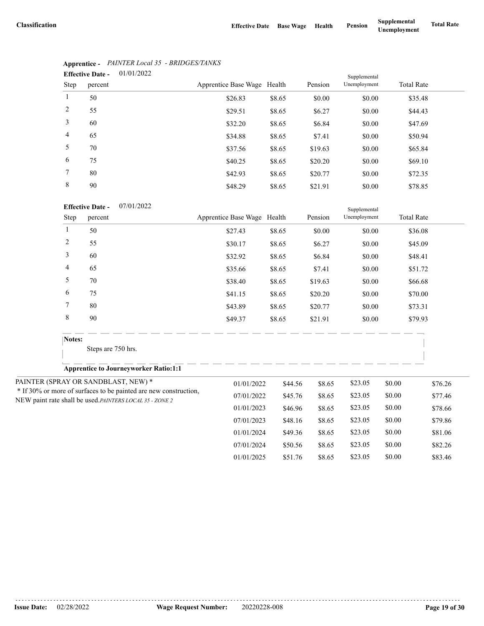|                | 01/01/2022<br><b>Effective Date -</b> |                             |        |         |              |                   |  |
|----------------|---------------------------------------|-----------------------------|--------|---------|--------------|-------------------|--|
| Step           | percent                               | Apprentice Base Wage Health |        | Pension | Unemployment | <b>Total Rate</b> |  |
|                | 50                                    | \$26.83                     | \$8.65 | \$0.00  | \$0.00       | \$35.48           |  |
| 2              | 55                                    | \$29.51                     | \$8.65 | \$6.27  | \$0.00       | \$44.43           |  |
| 3              | 60                                    | \$32.20                     | \$8.65 | \$6.84  | \$0.00       | \$47.69           |  |
| $\overline{4}$ | 65                                    | \$34.88                     | \$8.65 | \$7.41  | \$0.00       | \$50.94           |  |
| 5              | 70                                    | \$37.56                     | \$8.65 | \$19.63 | \$0.00       | \$65.84           |  |
| 6              | 75                                    | \$40.25                     | \$8.65 | \$20.20 | \$0.00       | \$69.10           |  |
| 7              | 80                                    | \$42.93                     | \$8.65 | \$20.77 | \$0.00       | \$72.35           |  |
| 8              | 90                                    | \$48.29                     | \$8.65 | \$21.91 | \$0.00       | \$78.85           |  |

### **Apprentice -** *PAINTER Local 35 - BRIDGES/TANKS*

|                | <b>Effective Date -</b><br>07/01/2022                                                                                        |                             |         |         | Supplemental |        |                   |
|----------------|------------------------------------------------------------------------------------------------------------------------------|-----------------------------|---------|---------|--------------|--------|-------------------|
| Step           | percent                                                                                                                      | Apprentice Base Wage Health |         | Pension | Unemployment |        | <b>Total Rate</b> |
| $\mathbf{1}$   | 50                                                                                                                           | \$27.43                     | \$8.65  | \$0.00  | \$0.00       |        | \$36.08           |
| $\overline{c}$ | 55                                                                                                                           | \$30.17                     | \$8.65  | \$6.27  | \$0.00       |        | \$45.09           |
| 3              | 60                                                                                                                           | \$32.92                     | \$8.65  | \$6.84  | \$0.00       |        | \$48.41           |
| 4              | 65                                                                                                                           | \$35.66                     | \$8.65  | \$7.41  | \$0.00       |        | \$51.72           |
| 5              | 70                                                                                                                           | \$38.40                     | \$8.65  | \$19.63 | \$0.00       |        | \$66.68           |
| 6              | 75                                                                                                                           | \$41.15                     | \$8.65  | \$20.20 | \$0.00       |        | \$70.00           |
| 7              | 80                                                                                                                           | \$43.89                     | \$8.65  | \$20.77 | \$0.00       |        | \$73.31           |
| 8              | 90                                                                                                                           | \$49.37                     | \$8.65  | \$21.91 | \$0.00       |        | \$79.93           |
| Notes:         |                                                                                                                              |                             |         |         |              |        |                   |
|                | Steps are 750 hrs.                                                                                                           |                             |         |         |              |        |                   |
|                | <b>Apprentice to Journeyworker Ratio:1:1</b>                                                                                 |                             |         |         |              |        |                   |
|                | PAINTER (SPRAY OR SANDBLAST, NEW) *                                                                                          | 01/01/2022                  | \$44.56 | \$8.65  | \$23.05      | \$0.00 | \$76.26           |
|                | * If 30% or more of surfaces to be painted are new construction,<br>NEW paint rate shall be used. PAINTERS LOCAL 35 - ZONE 2 | 07/01/2022                  | \$45.76 | \$8.65  | \$23.05      | \$0.00 | \$77.46           |
|                |                                                                                                                              | 01/01/2023                  | \$46.96 | \$8.65  | \$23.05      | \$0.00 | \$78.66           |
|                |                                                                                                                              | 07/01/2023                  | \$48.16 | \$8.65  | \$23.05      | \$0.00 | \$79.86           |
|                |                                                                                                                              | 01/01/2024                  | \$49.36 | \$8.65  | \$23.05      | \$0.00 | \$81.06           |
|                |                                                                                                                              | 07/01/2024                  | \$50.56 | \$8.65  | \$23.05      | \$0.00 | \$82.26           |
|                |                                                                                                                              | 01/01/2025                  | \$51.76 | \$8.65  | \$23.05      | \$0.00 | \$83.46           |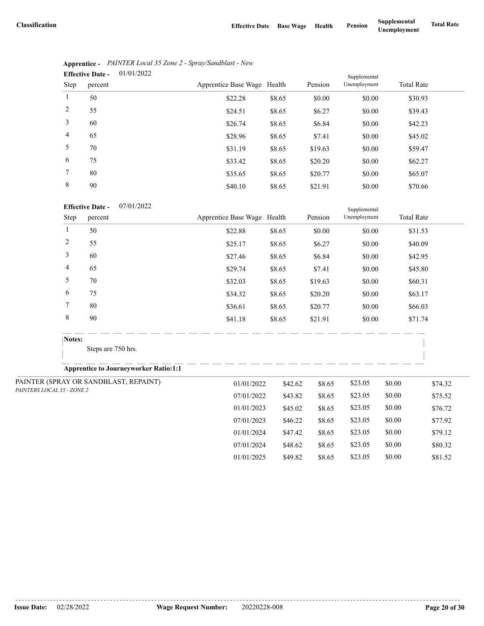07/01/2024 \$48.62 \$8.65 \$23.05 \$0.00 \$80.32 01/01/2025 \$49.82 \$8.65 \$23.05 \$0.00 \$81.52

|                | 01/01/2022<br><b>Effective Date -</b> |                             |        | Supplemental |              |                   |
|----------------|---------------------------------------|-----------------------------|--------|--------------|--------------|-------------------|
| Step           | percent                               | Apprentice Base Wage Health |        | Pension      | Unemployment | <b>Total Rate</b> |
| 1              | 50                                    | \$22.28                     | \$8.65 | \$0.00       | \$0.00       | \$30.93           |
| 2              | 55                                    | \$24.51                     | \$8.65 | \$6.27       | \$0.00       | \$39.43           |
| 3              | 60                                    | \$26.74                     | \$8.65 | \$6.84       | \$0.00       | \$42.23           |
| $\overline{4}$ | 65                                    | \$28.96                     | \$8.65 | \$7.41       | \$0.00       | \$45.02           |
| 5              | 70                                    | \$31.19                     | \$8.65 | \$19.63      | \$0.00       | \$59.47           |
| 6              | 75                                    | \$33.42                     | \$8.65 | \$20.20      | \$0.00       | \$62.27           |
| 7              | 80                                    | \$35.65                     | \$8.65 | \$20.77      | \$0.00       | \$65.07           |
| 8              | 90                                    | \$40.10                     | \$8.65 | \$21.91      | \$0.00       | \$70.66           |

| Apprentice - PAINTER Local 35 Zone 2 - Spray/Sandblast - New |
|--------------------------------------------------------------|
| $\mathbf{Fff}_0$ otivo Dato $01/01/2022$                     |

#### 07/01/2022 **Effective Date -**

|                            | 07/01/2022<br><b>Effective Date -</b>        |  |                             |         |         |              |        |                   |  |
|----------------------------|----------------------------------------------|--|-----------------------------|---------|---------|--------------|--------|-------------------|--|
| Step                       | percent                                      |  | Apprentice Base Wage Health |         | Pension | Unemployment |        | <b>Total Rate</b> |  |
| 1                          | 50                                           |  | \$22.88                     | \$8.65  | \$0.00  | \$0.00       |        | \$31.53           |  |
| 2                          | 55                                           |  | \$25.17                     | \$8.65  | \$6.27  | \$0.00       |        | \$40.09           |  |
| 3                          | 60                                           |  | \$27.46                     | \$8.65  | \$6.84  | \$0.00       |        | \$42.95           |  |
| 4                          | 65                                           |  | \$29.74                     | \$8.65  | \$7.41  | \$0.00       |        | \$45.80           |  |
| 5                          | 70                                           |  | \$32.03                     | \$8.65  | \$19.63 | \$0.00       |        | \$60.31           |  |
| 6                          | 75                                           |  | \$34.32                     | \$8.65  | \$20.20 | \$0.00       |        | \$63.17           |  |
| 7                          | 80                                           |  | \$36.61                     | \$8.65  | \$20.77 | \$0.00       |        | \$66.03           |  |
| $\,$ 8 $\,$                | 90                                           |  | \$41.18                     | \$8.65  | \$21.91 | \$0.00       |        | \$71.74           |  |
|                            | Notes:                                       |  |                             |         |         |              |        |                   |  |
|                            | Steps are 750 hrs.                           |  |                             |         |         |              |        |                   |  |
|                            | <b>Apprentice to Journeyworker Ratio:1:1</b> |  |                             |         |         |              |        |                   |  |
|                            | PAINTER (SPRAY OR SANDBLAST, REPAINT)        |  | 01/01/2022                  | \$42.62 | \$8.65  | \$23.05      | \$0.00 | \$74.32           |  |
| PAINTERS LOCAL 35 - ZONE 2 |                                              |  | 07/01/2022                  | \$43.82 | \$8.65  | \$23.05      | \$0.00 | \$75.52           |  |
|                            |                                              |  | 01/01/2023                  | \$45.02 | \$8.65  | \$23.05      | \$0.00 | \$76.72           |  |
|                            |                                              |  | 07/01/2023                  | \$46.22 | \$8.65  | \$23.05      | \$0.00 | \$77.92           |  |
|                            |                                              |  | 01/01/2024                  | \$47.42 | \$8.65  | \$23.05      | \$0.00 | \$79.12           |  |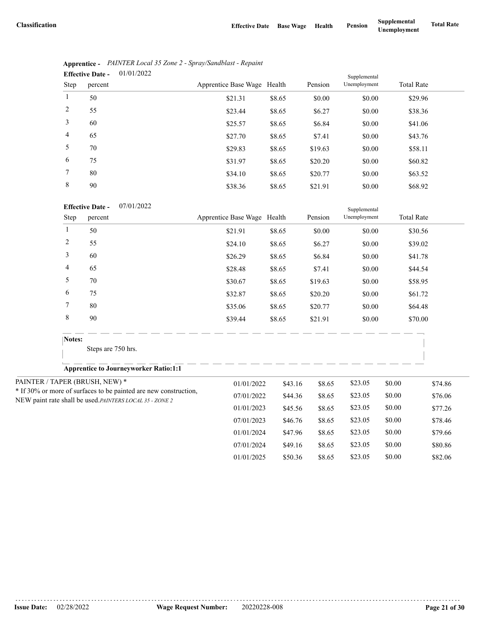|                | 01/01/2022<br><b>Effective Date -</b> |                             |        | Supplemental |              |                   |  |
|----------------|---------------------------------------|-----------------------------|--------|--------------|--------------|-------------------|--|
| Step           | percent                               | Apprentice Base Wage Health |        | Pension      | Unemployment | <b>Total Rate</b> |  |
| $\mathbf{1}$   | 50                                    | \$21.31                     | \$8.65 | \$0.00       | \$0.00       | \$29.96           |  |
| 2              | 55                                    | \$23.44                     | \$8.65 | \$6.27       | \$0.00       | \$38.36           |  |
| 3              | 60                                    | \$25.57                     | \$8.65 | \$6.84       | \$0.00       | \$41.06           |  |
| $\overline{4}$ | 65                                    | \$27.70                     | \$8.65 | \$7.41       | \$0.00       | \$43.76           |  |
| 5              | 70                                    | \$29.83                     | \$8.65 | \$19.63      | \$0.00       | \$58.11           |  |
| 6              | 75                                    | \$31.97                     | \$8.65 | \$20.20      | \$0.00       | \$60.82           |  |
| 7              | 80                                    | \$34.10                     | \$8.65 | \$20.77      | \$0.00       | \$63.52           |  |
| 8              | 90                                    | \$38.36                     | \$8.65 | \$21.91      | \$0.00       | \$68.92           |  |

|                               | Apprentice - PAINTER Local 35 Zone 2 - Spray/Sandblast - Repaint |
|-------------------------------|------------------------------------------------------------------|
| Effective Date $-$ 01/01/2022 |                                                                  |

| <b>Effective Date -</b> | 07/01/2022 |
|-------------------------|------------|
|                         |            |

|                | <b>Effective Date -</b><br>07/01/2022                            |                             |         |         | Supplemental |        |                   |
|----------------|------------------------------------------------------------------|-----------------------------|---------|---------|--------------|--------|-------------------|
| Step           | percent                                                          | Apprentice Base Wage Health |         | Pension | Unemployment |        | <b>Total Rate</b> |
| $\mathbf{1}$   | 50                                                               | \$21.91                     | \$8.65  | \$0.00  | \$0.00       |        | \$30.56           |
| $\overline{c}$ | 55                                                               | \$24.10                     | \$8.65  | \$6.27  | \$0.00       |        | \$39.02           |
| 3              | 60                                                               | \$26.29                     | \$8.65  | \$6.84  | \$0.00       |        | \$41.78           |
| 4              | 65                                                               | \$28.48                     | \$8.65  | \$7.41  | \$0.00       |        | \$44.54           |
| 5              | 70                                                               | \$30.67                     | \$8.65  | \$19.63 | \$0.00       |        | \$58.95           |
| 6              | 75                                                               | \$32.87                     | \$8.65  | \$20.20 | \$0.00       |        | \$61.72           |
| 7              | 80                                                               | \$35.06                     | \$8.65  | \$20.77 | \$0.00       |        | \$64.48           |
| $\,$ 8 $\,$    | 90                                                               | \$39.44                     | \$8.65  | \$21.91 | \$0.00       |        | \$70.00           |
| Notes:         |                                                                  |                             |         |         |              |        |                   |
|                | Steps are 750 hrs.                                               |                             |         |         |              |        |                   |
|                | <b>Apprentice to Journeyworker Ratio:1:1</b>                     |                             |         |         |              |        |                   |
|                | PAINTER / TAPER (BRUSH, NEW) *                                   | 01/01/2022                  | \$43.16 | \$8.65  | \$23.05      | \$0.00 | \$74.86           |
|                | * If 30% or more of surfaces to be painted are new construction, | 07/01/2022                  | \$44.36 | \$8.65  | \$23.05      | \$0.00 | \$76.06           |
|                | NEW paint rate shall be used.PAINTERS LOCAL 35 - ZONE 2          | 01/01/2023                  | \$45.56 | \$8.65  | \$23.05      | \$0.00 | \$77.26           |
|                |                                                                  | 07/01/2023                  | \$46.76 | \$8.65  | \$23.05      | \$0.00 | \$78.46           |
|                |                                                                  | 01/01/2024                  | \$47.96 | \$8.65  | \$23.05      | \$0.00 | \$79.66           |
|                |                                                                  | 07/01/2024                  | \$49.16 | \$8.65  | \$23.05      | \$0.00 | \$80.86           |
|                |                                                                  | 01/01/2025                  | \$50.36 | \$8.65  | \$23.05      | \$0.00 | \$82.06           |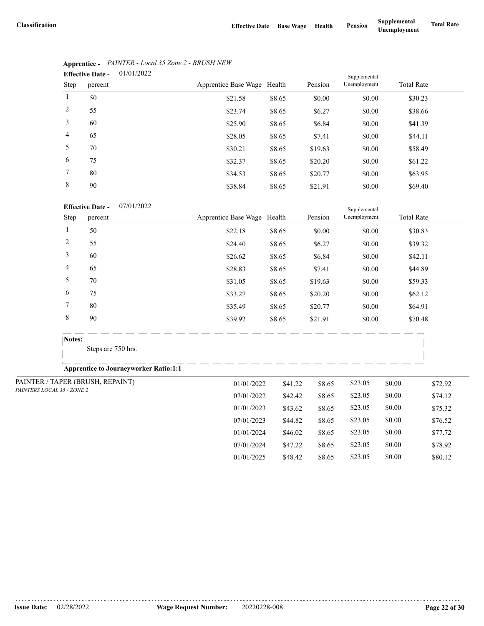07/01/2024 \$47.22 \$8.65 \$23.05 \$0.00 \$78.92 01/01/2025 \$48.42 \$8.65 \$23.05 \$0.00 \$80.12

|                | 01/01/2022<br><b>Effective Date -</b> |                             |        |         | Supplemental |                   |
|----------------|---------------------------------------|-----------------------------|--------|---------|--------------|-------------------|
| Step           | percent                               | Apprentice Base Wage Health |        | Pension | Unemployment | <b>Total Rate</b> |
|                | 50                                    | \$21.58                     | \$8.65 | \$0.00  | \$0.00       | \$30.23           |
| 2              | 55                                    | \$23.74                     | \$8.65 | \$6.27  | \$0.00       | \$38.66           |
| 3              | 60                                    | \$25.90                     | \$8.65 | \$6.84  | \$0.00       | \$41.39           |
| $\overline{4}$ | 65                                    | \$28.05                     | \$8.65 | \$7.41  | \$0.00       | \$44.11           |
| 5              | 70                                    | \$30.21                     | \$8.65 | \$19.63 | \$0.00       | \$58.49           |
| 6              | 75                                    | \$32.37                     | \$8.65 | \$20.20 | \$0.00       | \$61.22           |
| 7              | 80                                    | \$34.53                     | \$8.65 | \$20.77 | \$0.00       | \$63.95           |
| 8              | 90                                    | \$38.84                     | \$8.65 | \$21.91 | \$0.00       | \$69.40           |

## **Apprentice -** *PAINTER - Local 35 Zone 2 - BRUSH NEW*

#### 07/01/2022 **Effective Date -**

|                                  |                | <b>Effective Date -</b><br>07/01/2022        |                             |         |         | Supplemental |        |                   |
|----------------------------------|----------------|----------------------------------------------|-----------------------------|---------|---------|--------------|--------|-------------------|
|                                  | Step           | percent                                      | Apprentice Base Wage Health |         | Pension | Unemployment |        | <b>Total Rate</b> |
| $\mathbf{1}$                     |                | 50                                           | \$22.18                     | \$8.65  | \$0.00  | \$0.00       |        | \$30.83           |
|                                  | $\overline{c}$ | 55                                           | \$24.40                     | \$8.65  | \$6.27  | \$0.00       |        | \$39.32           |
|                                  | 3              | 60                                           | \$26.62                     | \$8.65  | \$6.84  | \$0.00       |        | \$42.11           |
|                                  | 4              | 65                                           | \$28.83                     | \$8.65  | \$7.41  | \$0.00       |        | \$44.89           |
|                                  | 5              | 70                                           | \$31.05                     | \$8.65  | \$19.63 | \$0.00       |        | \$59.33           |
|                                  | 6              | 75                                           | \$33.27                     | \$8.65  | \$20.20 | \$0.00       |        | \$62.12           |
| 7                                |                | 80                                           | \$35.49                     | \$8.65  | \$20.77 | \$0.00       |        | \$64.91           |
|                                  | 8              | 90                                           | \$39.92                     | \$8.65  | \$21.91 | \$0.00       |        | \$70.48           |
|                                  | Notes:         |                                              |                             |         |         |              |        |                   |
|                                  |                | Steps are 750 hrs.                           |                             |         |         |              |        |                   |
|                                  |                | <b>Apprentice to Journeyworker Ratio:1:1</b> |                             |         |         |              |        |                   |
| PAINTER / TAPER (BRUSH, REPAINT) |                |                                              | 01/01/2022                  | \$41.22 | \$8.65  | \$23.05      | \$0.00 | \$72.92           |
| PAINTERS LOCAL 35 - ZONE 2       |                |                                              | 07/01/2022                  | \$42.42 | \$8.65  | \$23.05      | \$0.00 | \$74.12           |
|                                  |                |                                              | 01/01/2023                  | \$43.62 | \$8.65  | \$23.05      | \$0.00 | \$75.32           |
|                                  |                |                                              | 07/01/2023                  | \$44.82 | \$8.65  | \$23.05      | \$0.00 | \$76.52           |
|                                  |                |                                              | 01/01/2024                  | \$46.02 | \$8.65  | \$23.05      | \$0.00 | \$77.72           |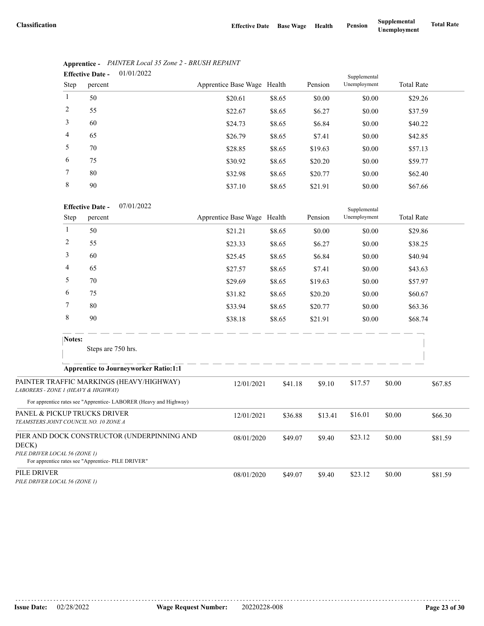Supplemental

|                | 01/01/2022<br><b>Effective Date -</b> |                             | Supplemental |         |              |                   |  |
|----------------|---------------------------------------|-----------------------------|--------------|---------|--------------|-------------------|--|
| Step           | percent                               | Apprentice Base Wage Health |              | Pension | Unemployment | <b>Total Rate</b> |  |
| $\mathbf{1}$   | 50                                    | \$20.61                     | \$8.65       | \$0.00  | \$0.00       | \$29.26           |  |
| 2              | 55                                    | \$22.67                     | \$8.65       | \$6.27  | \$0.00       | \$37.59           |  |
| 3              | 60                                    | \$24.73                     | \$8.65       | \$6.84  | \$0.00       | \$40.22           |  |
| $\overline{4}$ | 65                                    | \$26.79                     | \$8.65       | \$7.41  | \$0.00       | \$42.85           |  |
| 5              | 70                                    | \$28.85                     | \$8.65       | \$19.63 | \$0.00       | \$57.13           |  |
| 6              | 75                                    | \$30.92                     | \$8.65       | \$20.20 | \$0.00       | \$59.77           |  |
| 7              | 80                                    | \$32.98                     | \$8.65       | \$20.77 | \$0.00       | \$62.40           |  |
| 8              | 90                                    | \$37.10                     | \$8.65       | \$21.91 | \$0.00       | \$67.66           |  |

## **Apprentice -** *PAINTER Local 35 Zone 2 - BRUSH REPAINT*

| <b>Effective Date -</b> | 07/01/2022 |
|-------------------------|------------|
|                         |            |

|                                                                       | Step   | percent                                                                                           | Apprentice Base Wage Health |         | Pension | Unemployment |        | <b>Total Rate</b> |
|-----------------------------------------------------------------------|--------|---------------------------------------------------------------------------------------------------|-----------------------------|---------|---------|--------------|--------|-------------------|
|                                                                       | 1      | 50                                                                                                | \$21.21                     | \$8.65  | \$0.00  | \$0.00       |        | \$29.86           |
|                                                                       | 2      | 55                                                                                                | \$23.33                     | \$8.65  | \$6.27  | \$0.00       |        | \$38.25           |
|                                                                       | 3      | 60                                                                                                | \$25.45                     | \$8.65  | \$6.84  | \$0.00       |        | \$40.94           |
|                                                                       | 4      | 65                                                                                                | \$27.57                     | \$8.65  | \$7.41  | \$0.00       |        | \$43.63           |
|                                                                       | 5      | 70                                                                                                | \$29.69                     | \$8.65  | \$19.63 | \$0.00       |        | \$57.97           |
|                                                                       | 6      | 75                                                                                                | \$31.82                     | \$8.65  | \$20.20 | \$0.00       |        | \$60.67           |
|                                                                       | 7      | 80                                                                                                | \$33.94                     | \$8.65  | \$20.77 | \$0.00       |        | \$63.36           |
|                                                                       | 8      | 90                                                                                                | \$38.18                     | \$8.65  | \$21.91 | \$0.00       |        | \$68.74           |
|                                                                       | Notes: | Steps are 750 hrs.                                                                                |                             |         |         |              |        |                   |
|                                                                       |        | <b>Apprentice to Journeyworker Ratio:1:1</b>                                                      |                             |         |         |              |        |                   |
| LABORERS - ZONE 1 (HEAVY & HIGHWAY)                                   |        | PAINTER TRAFFIC MARKINGS (HEAVY/HIGHWAY)                                                          | 12/01/2021                  | \$41.18 | \$9.10  | \$17.57      | \$0.00 | \$67.85           |
|                                                                       |        | For apprentice rates see "Apprentice-LABORER (Heavy and Highway)                                  |                             |         |         |              |        |                   |
| PANEL & PICKUP TRUCKS DRIVER<br>TEAMSTERS JOINT COUNCIL NO. 10 ZONE A |        |                                                                                                   | 12/01/2021                  | \$36.88 | \$13.41 | \$16.01      | \$0.00 | \$66.30           |
| DECK)<br>PILE DRIVER LOCAL 56 (ZONE 1)                                |        | PIER AND DOCK CONSTRUCTOR (UNDERPINNING AND<br>For apprentice rates see "Apprentice- PILE DRIVER" | 08/01/2020                  | \$49.07 | \$9.40  | \$23.12      | \$0.00 | \$81.59           |
| PILE DRIVER<br>PILE DRIVER LOCAL 56 (ZONE 1)                          |        |                                                                                                   | 08/01/2020                  | \$49.07 | \$9.40  | \$23.12      | \$0.00 | \$81.59           |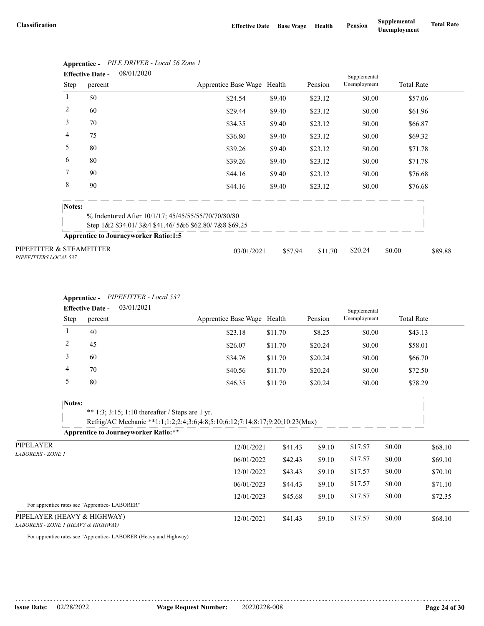|                                                   | <b>Effective Date -</b> | 08/01/2020                                           |                             |         |         | Supplemental |                   |         |
|---------------------------------------------------|-------------------------|------------------------------------------------------|-----------------------------|---------|---------|--------------|-------------------|---------|
|                                                   | Step<br>percent         |                                                      | Apprentice Base Wage Health |         | Pension | Unemployment | <b>Total Rate</b> |         |
| 1                                                 | 50                      |                                                      | \$24.54                     | \$9.40  | \$23.12 | \$0.00       | \$57.06           |         |
| $\overline{c}$                                    | 60                      |                                                      | \$29.44                     | \$9.40  | \$23.12 | \$0.00       | \$61.96           |         |
| 3                                                 | 70                      |                                                      | \$34.35                     | \$9.40  | \$23.12 | \$0.00       | \$66.87           |         |
| 4                                                 | 75                      |                                                      | \$36.80                     | \$9.40  | \$23.12 | \$0.00       | \$69.32           |         |
| 5                                                 | 80                      |                                                      | \$39.26                     | \$9.40  | \$23.12 | \$0.00       | \$71.78           |         |
| 6                                                 | 80                      |                                                      | \$39.26                     | \$9.40  | \$23.12 | \$0.00       | \$71.78           |         |
| 7                                                 | 90                      |                                                      | \$44.16                     | \$9.40  | \$23.12 | \$0.00       | \$76.68           |         |
| 8                                                 | 90                      |                                                      | \$44.16                     | \$9.40  | \$23.12 | \$0.00       | \$76.68           |         |
|                                                   | Notes:                  |                                                      |                             |         |         |              |                   |         |
|                                                   |                         | % Indentured After 10/1/17; 45/45/55/55/70/70/80/80  |                             |         |         |              |                   |         |
|                                                   |                         | Step 1&2 \$34.01/3&4 \$41.46/5&6 \$62.80/7&8 \$69.25 |                             |         |         |              |                   |         |
|                                                   |                         | <b>Apprentice to Journeyworker Ratio:1:5</b>         |                             |         |         |              |                   |         |
| PIPEFITTER & STEAMFITTER<br>PIPEFITTERS LOCAL 537 |                         |                                                      | 03/01/2021                  | \$57.94 | \$11.70 | \$20.24      | \$0.00            | \$89.88 |

# **Apprentice -** *PILE DRIVER - Local 56 Zone 1*

#### **Apprentice -** *PIPEFITTER - Local 537*

|                                                                    | 03/01/2021<br><b>Effective Date -</b> |                                               |                                                                                                                                 |                             |         |         | Supplemental |                   |         |
|--------------------------------------------------------------------|---------------------------------------|-----------------------------------------------|---------------------------------------------------------------------------------------------------------------------------------|-----------------------------|---------|---------|--------------|-------------------|---------|
|                                                                    | Step                                  | percent                                       |                                                                                                                                 | Apprentice Base Wage Health |         | Pension | Unemployment | <b>Total Rate</b> |         |
|                                                                    | 1                                     | 40                                            |                                                                                                                                 | \$23.18                     | \$11.70 | \$8.25  | \$0.00       | \$43.13           |         |
|                                                                    | $\overline{c}$                        | 45                                            |                                                                                                                                 | \$26.07                     | \$11.70 | \$20.24 | \$0.00       | \$58.01           |         |
|                                                                    | 3                                     | 60                                            |                                                                                                                                 | \$34.76                     | \$11.70 | \$20.24 | \$0.00       | \$66.70           |         |
|                                                                    | 4                                     | 70                                            |                                                                                                                                 | \$40.56                     | \$11.70 | \$20.24 | \$0.00       | \$72.50           |         |
|                                                                    | 5                                     | 80                                            |                                                                                                                                 | \$46.35                     | \$11.70 | \$20.24 | \$0.00       | \$78.29           |         |
|                                                                    | Notes:                                |                                               | ** 1:3; 3:15; 1:10 thereafter / Steps are 1 yr.<br>Refrig/AC Mechanic **1:1;1:2;2:4;3:6;4:8;5:10;6:12;7:14;8:17;9:20;10:23(Max) |                             |         |         |              |                   |         |
|                                                                    |                                       |                                               | <b>Apprentice to Journeyworker Ratio:**</b>                                                                                     |                             |         |         |              |                   |         |
| PIPELAYER                                                          |                                       |                                               |                                                                                                                                 | 12/01/2021                  | \$41.43 | \$9.10  | \$17.57      | \$0.00            | \$68.10 |
| <b>LABORERS - ZONE 1</b>                                           |                                       |                                               |                                                                                                                                 | 06/01/2022                  | \$42.43 | \$9.10  | \$17.57      | \$0.00            | \$69.10 |
|                                                                    |                                       |                                               |                                                                                                                                 | 12/01/2022                  | \$43.43 | \$9.10  | \$17.57      | \$0.00            | \$70.10 |
|                                                                    |                                       |                                               |                                                                                                                                 | 06/01/2023                  | \$44.43 | \$9.10  | \$17.57      | \$0.00            | \$71.10 |
|                                                                    |                                       |                                               |                                                                                                                                 | 12/01/2023                  | \$45.68 | \$9.10  | \$17.57      | \$0.00            | \$72.35 |
|                                                                    |                                       | For apprentice rates see "Apprentice-LABORER" |                                                                                                                                 |                             |         |         |              |                   |         |
| PIPELAYER (HEAVY & HIGHWAY)<br>LABORERS - ZONE 1 (HEAVY & HIGHWAY) |                                       |                                               |                                                                                                                                 | 12/01/2021                  | \$41.43 | \$9.10  | \$17.57      | \$0.00            | \$68.10 |

For apprentice rates see "Apprentice- LABORER (Heavy and Highway)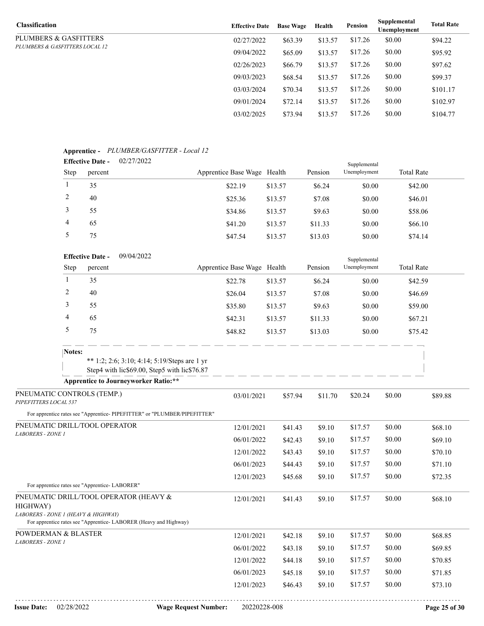| <b>Classification</b>          | <b>Effective Date</b> | <b>Base Wage</b> | Health  | Pension | Supplemental<br>Unemployment | <b>Total Rate</b> |
|--------------------------------|-----------------------|------------------|---------|---------|------------------------------|-------------------|
| PLUMBERS & GASFITTERS          | 02/27/2022            | \$63.39          | \$13.57 | \$17.26 | \$0.00                       | \$94.22           |
| PLUMBERS & GASFITTERS LOCAL 12 | 09/04/2022            | \$65.09          | \$13.57 | \$17.26 | \$0.00                       | \$95.92           |
|                                | 02/26/2023            | \$66.79          | \$13.57 | \$17.26 | \$0.00                       | \$97.62           |
|                                | 09/03/2023            | \$68.54          | \$13.57 | \$17.26 | \$0.00                       | \$99.37           |
|                                | 03/03/2024            | \$70.34          | \$13.57 | \$17.26 | \$0.00                       | \$101.17          |
|                                | 09/01/2024            | \$72.14          | \$13.57 | \$17.26 | \$0.00                       | \$102.97          |
|                                | 03/02/2025            | \$73.94          | \$13.57 | \$17.26 | \$0.00                       | \$104.77          |

## **Apprentice -** *PLUMBER/GASFITTER - Local 12*

|      | <b>Effective Date -</b> | 02/27/2022 |                             |         |         | Supplemental |                   |
|------|-------------------------|------------|-----------------------------|---------|---------|--------------|-------------------|
| Step | percent                 |            | Apprentice Base Wage Health |         | Pension | Unemployment | <b>Total Rate</b> |
|      | 35                      |            | \$22.19                     | \$13.57 | \$6.24  | \$0.00       | \$42.00           |
|      | 40                      |            | \$25.36                     | \$13.57 | \$7.08  | \$0.00       | \$46.01           |
|      | 55                      |            | \$34.86                     | \$13.57 | \$9.63  | \$0.00       | \$58.06           |
| 4    | 65                      |            | \$41.20                     | \$13.57 | \$11.33 | \$0.00       | \$66.10           |
|      | 75                      |            | \$47.54                     | \$13.57 | \$13.03 | \$0.00       | \$74.14           |

|                                                     |        | 09/04/2022<br><b>Effective Date -</b><br>Supplemental                                        |                                                                           |                             |         |         |         |              |         |                   |         |
|-----------------------------------------------------|--------|----------------------------------------------------------------------------------------------|---------------------------------------------------------------------------|-----------------------------|---------|---------|---------|--------------|---------|-------------------|---------|
|                                                     | Step   | percent                                                                                      |                                                                           | Apprentice Base Wage Health |         |         | Pension | Unemployment |         | <b>Total Rate</b> |         |
|                                                     | -1     | 35                                                                                           |                                                                           | \$22.78                     | \$13.57 |         | \$6.24  | \$0.00       |         | \$42.59           |         |
|                                                     | 2      | 40                                                                                           |                                                                           | \$26.04                     | \$13.57 |         | \$7.08  | \$0.00       |         | \$46.69           |         |
|                                                     | 3      | 55                                                                                           |                                                                           | \$35.80                     | \$13.57 |         | \$9.63  | \$0.00       |         | \$59.00           |         |
|                                                     | 4      | 65                                                                                           |                                                                           | \$42.31                     | \$13.57 |         | \$11.33 | \$0.00       |         | \$67.21           |         |
|                                                     | 5      | 75                                                                                           |                                                                           | \$48.82                     | \$13.57 |         | \$13.03 | \$0.00       |         | \$75.42           |         |
|                                                     | Notes: |                                                                                              |                                                                           |                             |         |         |         |              |         |                   |         |
|                                                     |        | ** 1:2; 2:6; 3:10; 4:14; 5:19/Steps are 1 yr<br>Step4 with lic\$69.00, Step5 with lic\$76.87 |                                                                           |                             |         |         |         |              |         |                   |         |
|                                                     |        | <b>Apprentice to Journeyworker Ratio:**</b>                                                  |                                                                           |                             |         |         |         |              |         |                   |         |
| PNEUMATIC CONTROLS (TEMP.)<br>PIPEFITTERS LOCAL 537 |        | 03/01/2021                                                                                   |                                                                           | \$57.94                     | \$11.70 | \$20.24 | \$0.00  |              | \$89.88 |                   |         |
|                                                     |        |                                                                                              | For apprentice rates see "Apprentice- PIPEFITTER" or "PLUMBER/PIPEFITTER" |                             |         |         |         |              |         |                   |         |
|                                                     |        | PNEUMATIC DRILL/TOOL OPERATOR                                                                |                                                                           |                             |         |         |         |              |         |                   |         |
| <b>LABORERS - ZONE 1</b>                            |        |                                                                                              |                                                                           | 12/01/2021                  |         | \$41.43 | \$9.10  | \$17.57      | \$0.00  |                   | \$68.10 |
|                                                     |        |                                                                                              |                                                                           | 06/01/2022                  |         | \$42.43 | \$9.10  | \$17.57      | \$0.00  |                   | \$69.10 |
|                                                     |        |                                                                                              |                                                                           | 12/01/2022                  |         | \$43.43 | \$9.10  | \$17.57      | \$0.00  |                   | \$70.10 |
|                                                     |        |                                                                                              |                                                                           | 06/01/2023                  |         | \$44.43 | \$9.10  | \$17.57      | \$0.00  |                   | \$71.10 |
|                                                     |        | For apprentice rates see "Apprentice-LABORER"                                                |                                                                           | 12/01/2023                  |         | \$45.68 | \$9.10  | \$17.57      | \$0.00  |                   | \$72.35 |
| HIGHWAY)<br>LABORERS - ZONE 1 (HEAVY & HIGHWAY)     |        | PNEUMATIC DRILL/TOOL OPERATOR (HEAVY &                                                       |                                                                           | 12/01/2021                  |         | \$41.43 | \$9.10  | \$17.57      | \$0.00  |                   | \$68.10 |
|                                                     |        | For apprentice rates see "Apprentice-LABORER (Heavy and Highway)                             |                                                                           |                             |         |         |         |              |         |                   |         |
| POWDERMAN & BLASTER<br>LABORERS - ZONE 1            |        |                                                                                              |                                                                           | 12/01/2021                  |         | \$42.18 | \$9.10  | \$17.57      | \$0.00  |                   | \$68.85 |
|                                                     |        |                                                                                              |                                                                           | 06/01/2022                  |         | \$43.18 | \$9.10  | \$17.57      | \$0.00  |                   | \$69.85 |
|                                                     |        |                                                                                              |                                                                           | 12/01/2022                  |         | \$44.18 | \$9.10  | \$17.57      | \$0.00  |                   | \$70.85 |
|                                                     |        |                                                                                              |                                                                           | 06/01/2023                  |         | \$45.18 | \$9.10  | \$17.57      | \$0.00  |                   | \$71.85 |
|                                                     |        |                                                                                              |                                                                           | 12/01/2023                  |         | \$46.43 | \$9.10  | \$17.57      | \$0.00  |                   | \$73.10 |
|                                                     |        |                                                                                              |                                                                           |                             |         |         |         |              |         |                   |         |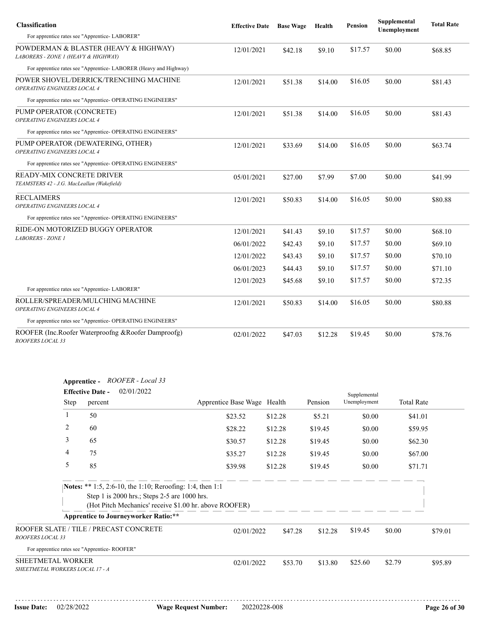| <b>Classification</b>                                                        | <b>Effective Date</b> | <b>Base Wage</b> | Health  | Pension | Supplemental<br>Unemployment | <b>Total Rate</b>             |
|------------------------------------------------------------------------------|-----------------------|------------------|---------|---------|------------------------------|-------------------------------|
| For apprentice rates see "Apprentice-LABORER"                                |                       |                  |         |         |                              |                               |
| POWDERMAN & BLASTER (HEAVY & HIGHWAY)<br>LABORERS - ZONE 1 (HEAVY & HIGHWAY) | 12/01/2021            | \$42.18          | \$9.10  | \$17.57 | \$0.00                       | \$68.85                       |
| For apprentice rates see "Apprentice-LABORER (Heavy and Highway)             |                       |                  |         |         |                              |                               |
| POWER SHOVEL/DERRICK/TRENCHING MACHINE<br>OPERATING ENGINEERS LOCAL 4        | 12/01/2021            | \$51.38          | \$14.00 | \$16.05 | \$0.00                       | \$81.43                       |
| For apprentice rates see "Apprentice- OPERATING ENGINEERS"                   |                       |                  |         |         |                              |                               |
| PUMP OPERATOR (CONCRETE)<br>OPERATING ENGINEERS LOCAL 4                      | 12/01/2021            | \$51.38          | \$14.00 | \$16.05 | \$0.00                       | \$81.43                       |
| For apprentice rates see "Apprentice- OPERATING ENGINEERS"                   |                       |                  |         |         |                              |                               |
| PUMP OPERATOR (DEWATERING, OTHER)<br>OPERATING ENGINEERS LOCAL 4             | 12/01/2021            | \$33.69          | \$14.00 | \$16.05 | \$0.00                       | \$63.74                       |
| For apprentice rates see "Apprentice- OPERATING ENGINEERS"                   |                       |                  |         |         |                              |                               |
| READY-MIX CONCRETE DRIVER<br>TEAMSTERS 42 - J.G. MacLeallan (Wakefield)      | 05/01/2021            | \$27.00          | \$7.99  | \$7.00  | \$0.00                       | \$41.99                       |
| <b>RECLAIMERS</b><br>OPERATING ENGINEERS LOCAL 4                             | 12/01/2021            | \$50.83          | \$14.00 | \$16.05 | \$0.00                       | \$80.88                       |
| For apprentice rates see "Apprentice- OPERATING ENGINEERS"                   |                       |                  |         |         |                              |                               |
| RIDE-ON MOTORIZED BUGGY OPERATOR                                             | 12/01/2021            | \$41.43          | \$9.10  | \$17.57 | \$0.00                       | \$68.10                       |
| <b>LABORERS - ZONE 1</b>                                                     | 06/01/2022            | \$42.43          | \$9.10  | \$17.57 | \$0.00                       | \$69.10                       |
|                                                                              | 12/01/2022            | \$43.43          | \$9.10  | \$17.57 | \$0.00                       | \$70.10                       |
|                                                                              | 06/01/2023            | \$44.43          | \$9.10  | \$17.57 | \$0.00                       | \$71.10                       |
|                                                                              | 12/01/2023            | \$45.68          | \$9.10  | \$17.57 | \$0.00                       | \$72.35<br>\$80.88<br>\$78.76 |
| For apprentice rates see "Apprentice-LABORER"                                |                       |                  |         |         |                              |                               |
| ROLLER/SPREADER/MULCHING MACHINE<br>OPERATING ENGINEERS LOCAL 4              | 12/01/2021            | \$50.83          | \$14.00 | \$16.05 | \$0.00                       |                               |
| For apprentice rates see "Apprentice- OPERATING ENGINEERS"                   |                       |                  |         |         |                              |                               |
| ROOFER (Inc.Roofer Waterproofng & Roofer Damproofg)<br>ROOFERS LOCAL 33      | 02/01/2022            | \$47.03          | \$12.28 | \$19.45 | \$0.00                       |                               |

| ROOFER - Local 33<br>Apprentice - |  |
|-----------------------------------|--|
|                                   |  |

|                                                      | . .  | 02/01/2022<br><b>Effective Date -</b>                                                                     |                                                        |         |         | Supplemental |                   |         |
|------------------------------------------------------|------|-----------------------------------------------------------------------------------------------------------|--------------------------------------------------------|---------|---------|--------------|-------------------|---------|
|                                                      | Step | percent                                                                                                   | Apprentice Base Wage Health                            |         | Pension | Unemployment | <b>Total Rate</b> |         |
|                                                      | 1    | 50                                                                                                        | \$23.52                                                | \$12.28 | \$5.21  | \$0.00       | \$41.01           |         |
|                                                      | 2    | 60                                                                                                        | \$28.22                                                | \$12.28 | \$19.45 | \$0.00       | \$59.95           |         |
|                                                      | 3    | 65                                                                                                        | \$30.57                                                | \$12.28 | \$19.45 | \$0.00       | \$62.30           |         |
|                                                      | 4    | 75                                                                                                        | \$35.27                                                | \$12.28 | \$19.45 | \$0.00       | \$67.00           |         |
|                                                      | 5    | 85                                                                                                        | \$39.98                                                | \$12.28 | \$19.45 | \$0.00       | \$71.71           |         |
|                                                      |      | Notes: ** 1:5, 2:6-10, the 1:10; Reroofing: 1:4, then 1:1<br>Step 1 is 2000 hrs.; Steps 2-5 are 1000 hrs. | (Hot Pitch Mechanics' receive \$1.00 hr. above ROOFER) |         |         |              |                   |         |
|                                                      |      | <b>Apprentice to Journeyworker Ratio:**</b>                                                               |                                                        |         |         |              |                   |         |
| ROOFERS LOCAL 33                                     |      | ROOFER SLATE / TILE / PRECAST CONCRETE                                                                    | 02/01/2022                                             | \$47.28 | \$12.28 | \$19.45      | \$0.00            | \$79.01 |
|                                                      |      | For apprentice rates see "Apprentice-ROOFER"                                                              |                                                        |         |         |              |                   |         |
| SHEETMETAL WORKER<br>SHEETMETAL WORKERS LOCAL 17 - A |      |                                                                                                           | 02/01/2022                                             | \$53.70 | \$13.80 | \$25.60      | \$2.79            | \$95.89 |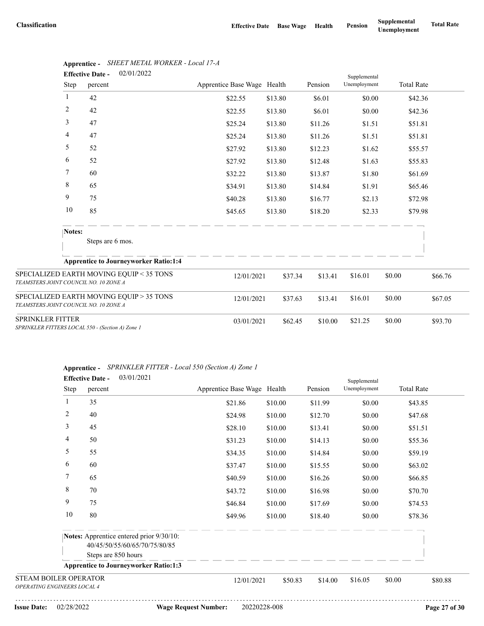|                                                                                   | <b>Effective Date -</b> | 02/01/2022                                   | Supplemental                |         |         |              |         |                   |
|-----------------------------------------------------------------------------------|-------------------------|----------------------------------------------|-----------------------------|---------|---------|--------------|---------|-------------------|
| Step                                                                              | percent                 |                                              | Apprentice Base Wage Health |         | Pension | Unemployment |         | <b>Total Rate</b> |
| 1                                                                                 | 42                      |                                              | \$22.55                     | \$13.80 | \$6.01  | \$0.00       |         | \$42.36           |
| 2                                                                                 | 42                      |                                              | \$22.55                     | \$13.80 | \$6.01  | \$0.00       |         | \$42.36           |
| 3                                                                                 | 47                      |                                              | \$25.24                     | \$13.80 | \$11.26 | \$1.51       |         | \$51.81           |
| 4                                                                                 | 47                      |                                              | \$25.24                     | \$13.80 | \$11.26 | \$1.51       |         | \$51.81           |
| 5                                                                                 | 52                      |                                              | \$27.92                     | \$13.80 | \$12.23 | \$1.62       |         | \$55.57           |
| 6                                                                                 | 52                      |                                              | \$27.92                     | \$13.80 | \$12.48 | \$1.63       |         | \$55.83           |
| 7                                                                                 | 60                      |                                              | \$32.22                     | \$13.80 | \$13.87 | \$1.80       |         | \$61.69           |
| 8                                                                                 | 65                      |                                              | \$34.91                     | \$13.80 | \$14.84 | \$1.91       |         | \$65.46           |
| 9                                                                                 | 75                      |                                              | \$40.28                     | \$13.80 | \$16.77 | \$2.13       |         | \$72.98           |
| 10                                                                                | 85                      |                                              | \$45.65                     | \$13.80 | \$18.20 | \$2.33       |         | \$79.98           |
| Notes:                                                                            |                         |                                              |                             |         |         |              |         |                   |
|                                                                                   | Steps are 6 mos.        |                                              |                             |         |         |              |         |                   |
|                                                                                   |                         | <b>Apprentice to Journeyworker Ratio:1:4</b> |                             |         |         |              |         |                   |
| SPECIALIZED EARTH MOVING EQUIP < 35 TONS<br>TEAMSTERS JOINT COUNCIL NO. 10 ZONE A |                         | 12/01/2021                                   | \$37.34                     | \$13.41 | \$16.01 | \$0.00       | \$66.76 |                   |
| SPECIALIZED EARTH MOVING EQUIP > 35 TONS<br>TEAMSTERS JOINT COUNCIL NO. 10 ZONE A |                         |                                              | 12/01/2021                  | \$37.63 | \$13.41 | \$16.01      | \$0.00  | \$67.05           |
| <b>SPRINKLER FITTER</b><br>SPRINKLER FITTERS LOCAL 550 - (Section A) Zone 1       |                         |                                              | 03/01/2021                  | \$62.45 | \$10.00 | \$21.25      | \$0.00  | \$93.70           |

## **Apprentice -** *SHEET METAL WORKER - Local 17-A*

|  | Apprentice - SPRINKLER FITTER - Local 550 (Section A) Zone 1 |  |  |  |  |
|--|--------------------------------------------------------------|--|--|--|--|
|--|--------------------------------------------------------------|--|--|--|--|

|                                                             | 03/01/2021<br><b>Effective Date -</b>                                     |                             |         |         | Supplemental |                   |  |
|-------------------------------------------------------------|---------------------------------------------------------------------------|-----------------------------|---------|---------|--------------|-------------------|--|
| Step                                                        | percent                                                                   | Apprentice Base Wage Health |         | Pension | Unemployment | <b>Total Rate</b> |  |
| 1                                                           | 35                                                                        | \$21.86                     | \$10.00 | \$11.99 | \$0.00       | \$43.85           |  |
| 2                                                           | 40                                                                        | \$24.98                     | \$10.00 | \$12.70 | \$0.00       | \$47.68           |  |
| 3                                                           | 45                                                                        | \$28.10                     | \$10.00 | \$13.41 | \$0.00       | \$51.51           |  |
| 4                                                           | 50                                                                        | \$31.23                     | \$10.00 | \$14.13 | \$0.00       | \$55.36           |  |
| 5                                                           | 55                                                                        | \$34.35                     | \$10.00 | \$14.84 | \$0.00       | \$59.19           |  |
| 6                                                           | 60                                                                        | \$37.47                     | \$10.00 | \$15.55 | \$0.00       | \$63.02           |  |
| 7                                                           | 65                                                                        | \$40.59                     | \$10.00 | \$16.26 | \$0.00       | \$66.85           |  |
| 8                                                           | 70                                                                        | \$43.72                     | \$10.00 | \$16.98 | \$0.00       | \$70.70           |  |
| 9                                                           | 75                                                                        | \$46.84                     | \$10.00 | \$17.69 | \$0.00       | \$74.53           |  |
| 10                                                          | 80                                                                        | \$49.96                     | \$10.00 | \$18.40 | \$0.00       | \$78.36           |  |
|                                                             | Notes: Apprentice entered prior 9/30/10:<br>40/45/50/55/60/65/70/75/80/85 |                             |         |         |              |                   |  |
|                                                             | Steps are 850 hours                                                       |                             |         |         |              |                   |  |
|                                                             | <b>Apprentice to Journeyworker Ratio:1:3</b>                              |                             |         |         |              |                   |  |
| <b>STEAM BOILER OPERATOR</b><br>OPERATING ENGINEERS LOCAL 4 |                                                                           | 12/01/2021                  | \$50.83 | \$14.00 | \$16.05      | \$0.00<br>\$80.88 |  |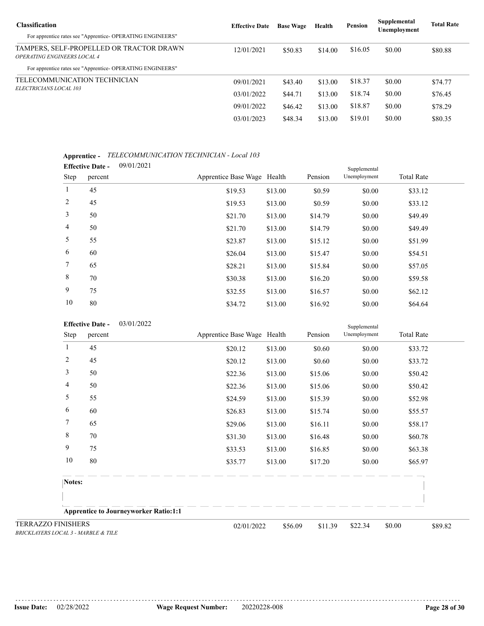| <b>Classification</b>                                                          | <b>Effective Date</b> | <b>Base Wage</b> | Health  | <b>Pension</b> | Supplemental<br>Unemployment | <b>Total Rate</b> |  |
|--------------------------------------------------------------------------------|-----------------------|------------------|---------|----------------|------------------------------|-------------------|--|
| For apprentice rates see "Apprentice-OPERATING ENGINEERS"                      |                       |                  |         |                |                              |                   |  |
| TAMPERS, SELF-PROPELLED OR TRACTOR DRAWN<br><b>OPERATING ENGINEERS LOCAL 4</b> | 12/01/2021            | \$50.83          | \$14.00 | \$16.05        | \$0.00                       | \$80.88           |  |
| For apprentice rates see "Apprentice- OPERATING ENGINEERS"                     |                       |                  |         |                |                              |                   |  |
| TELECOMMUNICATION TECHNICIAN<br><i>ELECTRICIANS LOCAL 103</i>                  | 09/01/2021            | \$43.40          | \$13.00 | \$18.37        | \$0.00                       | \$74.77           |  |
|                                                                                | 03/01/2022            | \$44.71          | \$13.00 | \$18.74        | \$0.00                       | \$76.45           |  |
|                                                                                | 09/01/2022            | \$46.42          | \$13.00 | \$18.87        | \$0.00                       | \$78.29           |  |
|                                                                                | 03/01/2023            | \$48.34          | \$13.00 | \$19.01        | \$0.00                       | \$80.35           |  |

#### **Apprentice -** *TELECOMMUNICATION TECHNICIAN - Local 103*

|                 | <b>Effective Date -</b> | 09/01/2021 |                             |         |         | Supplemental |                   |  |
|-----------------|-------------------------|------------|-----------------------------|---------|---------|--------------|-------------------|--|
| Step            | percent                 |            | Apprentice Base Wage Health |         | Pension | Unemployment | <b>Total Rate</b> |  |
| $\mathbf{1}$    | 45                      |            | \$19.53                     | \$13.00 | \$0.59  | \$0.00       | \$33.12           |  |
| 2               | 45                      |            | \$19.53                     | \$13.00 | \$0.59  | \$0.00       | \$33.12           |  |
| 3               | 50                      |            | \$21.70                     | \$13.00 | \$14.79 | \$0.00       | \$49.49           |  |
| $\overline{4}$  | 50                      |            | \$21.70                     | \$13.00 | \$14.79 | \$0.00       | \$49.49           |  |
| 5               | 55                      |            | \$23.87                     | \$13.00 | \$15.12 | \$0.00       | \$51.99           |  |
| 6               | 60                      |            | \$26.04                     | \$13.00 | \$15.47 | \$0.00       | \$54.51           |  |
| $7\phantom{.0}$ | 65                      |            | \$28.21                     | \$13.00 | \$15.84 | \$0.00       | \$57.05           |  |
| 8               | 70                      |            | \$30.38                     | \$13.00 | \$16.20 | \$0.00       | \$59.58           |  |
| 9               | 75                      |            | \$32.55                     | \$13.00 | \$16.57 | \$0.00       | \$62.12           |  |
| 10              | 80                      |            | \$34.72                     | \$13.00 | \$16.92 | \$0.00       | \$64.64           |  |

| 03/01/2022 |
|------------|
|            |

|                                                                  | <b>Effective Date -</b> | 03/01/2022                                   |                             |         |         | Supplemental |                   |
|------------------------------------------------------------------|-------------------------|----------------------------------------------|-----------------------------|---------|---------|--------------|-------------------|
|                                                                  | Step<br>percent         |                                              | Apprentice Base Wage Health |         | Pension | Unemployment | <b>Total Rate</b> |
| 1                                                                | 45                      |                                              | \$20.12                     | \$13.00 | \$0.60  | \$0.00       | \$33.72           |
| $\overline{c}$                                                   | 45                      |                                              | \$20.12                     | \$13.00 | \$0.60  | \$0.00       | \$33.72           |
| 3                                                                | 50                      |                                              | \$22.36                     | \$13.00 | \$15.06 | \$0.00       | \$50.42           |
| 4                                                                | 50                      |                                              | \$22.36                     | \$13.00 | \$15.06 | \$0.00       | \$50.42           |
| 5                                                                | 55                      |                                              | \$24.59                     | \$13.00 | \$15.39 | \$0.00       | \$52.98           |
| 6                                                                | 60                      |                                              | \$26.83                     | \$13.00 | \$15.74 | \$0.00       | \$55.57           |
| 7                                                                | 65                      |                                              | \$29.06                     | \$13.00 | \$16.11 | \$0.00       | \$58.17           |
| 8                                                                | 70                      |                                              | \$31.30                     | \$13.00 | \$16.48 | \$0.00       | \$60.78           |
| 9                                                                | 75                      |                                              | \$33.53                     | \$13.00 | \$16.85 | \$0.00       | \$63.38           |
| 10                                                               | 80                      |                                              | \$35.77                     | \$13.00 | \$17.20 | \$0.00       | \$65.97           |
|                                                                  | Notes:                  |                                              |                             |         |         |              |                   |
|                                                                  |                         |                                              |                             |         |         |              |                   |
|                                                                  |                         | <b>Apprentice to Journeyworker Ratio:1:1</b> |                             |         |         |              |                   |
| <b>TERRAZZO FINISHERS</b><br>BRICKLAYERS LOCAL 3 - MARBLE & TILE |                         |                                              | 02/01/2022                  | \$56.09 | \$11.39 | \$22.34      | \$0.00<br>\$89.82 |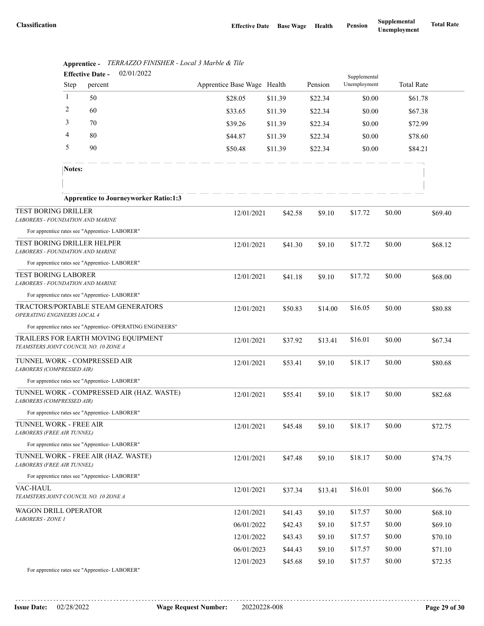|                                                                       | <b>Effective Date -</b> | 02/01/2022                                                 |                             | Supplemental |         |              |        |                   |  |  |
|-----------------------------------------------------------------------|-------------------------|------------------------------------------------------------|-----------------------------|--------------|---------|--------------|--------|-------------------|--|--|
|                                                                       | Step                    | percent                                                    | Apprentice Base Wage Health |              | Pension | Unemployment |        | <b>Total Rate</b> |  |  |
|                                                                       | 1                       | 50                                                         | \$28.05                     | \$11.39      | \$22.34 | \$0.00       |        | \$61.78           |  |  |
|                                                                       | $\overline{c}$          | 60                                                         | \$33.65                     | \$11.39      | \$22.34 | \$0.00       |        | \$67.38           |  |  |
|                                                                       | 3                       | 70                                                         | \$39.26                     | \$11.39      | \$22.34 | \$0.00       |        | \$72.99           |  |  |
|                                                                       | 4                       | 80                                                         | \$44.87                     | \$11.39      | \$22.34 | \$0.00       |        | \$78.60           |  |  |
|                                                                       | 5                       | 90                                                         | \$50.48                     | \$11.39      | \$22.34 | \$0.00       |        | \$84.21           |  |  |
|                                                                       | Notes:                  |                                                            |                             |              |         |              |        |                   |  |  |
|                                                                       |                         |                                                            |                             |              |         |              |        |                   |  |  |
|                                                                       |                         | <b>Apprentice to Journeyworker Ratio:1:3</b>               |                             |              |         |              |        |                   |  |  |
| <b>TEST BORING DRILLER</b><br><b>LABORERS - FOUNDATION AND MARINE</b> |                         |                                                            | 12/01/2021                  | \$42.58      | \$9.10  | \$17.72      | \$0.00 | \$69.40           |  |  |
|                                                                       |                         | For apprentice rates see "Apprentice-LABORER"              |                             |              |         |              |        |                   |  |  |
| TEST BORING DRILLER HELPER<br><b>LABORERS - FOUNDATION AND MARINE</b> |                         |                                                            | 12/01/2021                  | \$41.30      | \$9.10  | \$17.72      | \$0.00 | \$68.12           |  |  |
|                                                                       |                         | For apprentice rates see "Apprentice-LABORER"              |                             |              |         |              |        |                   |  |  |
| <b>TEST BORING LABORER</b><br><b>LABORERS - FOUNDATION AND MARINE</b> |                         |                                                            | 12/01/2021                  | \$41.18      | \$9.10  | \$17.72      | \$0.00 | \$68.00           |  |  |
|                                                                       |                         | For apprentice rates see "Apprentice-LABORER"              |                             |              |         |              |        |                   |  |  |
| OPERATING ENGINEERS LOCAL 4                                           |                         | TRACTORS/PORTABLE STEAM GENERATORS                         | 12/01/2021                  | \$50.83      | \$14.00 | \$16.05      | \$0.00 | \$80.88           |  |  |
|                                                                       |                         | For apprentice rates see "Apprentice- OPERATING ENGINEERS" |                             |              |         |              |        |                   |  |  |
| TEAMSTERS JOINT COUNCIL NO. 10 ZONE A                                 |                         | TRAILERS FOR EARTH MOVING EQUIPMENT                        | 12/01/2021                  | \$37.92      | \$13.41 | \$16.01      | \$0.00 | \$67.34           |  |  |
| TUNNEL WORK - COMPRESSED AIR<br>LABORERS (COMPRESSED AIR)             |                         |                                                            | 12/01/2021                  | \$53.41      | \$9.10  | \$18.17      | \$0.00 | \$80.68           |  |  |
|                                                                       |                         | For apprentice rates see "Apprentice-LABORER"              |                             |              |         |              |        |                   |  |  |
| LABORERS (COMPRESSED AIR)                                             |                         | TUNNEL WORK - COMPRESSED AIR (HAZ. WASTE)                  | 12/01/2021                  | \$55.41      | \$9.10  | \$18.17      | \$0.00 | \$82.68           |  |  |
|                                                                       |                         | For apprentice rates see "Apprentice- LABORER"             |                             |              |         |              |        |                   |  |  |
| TUNNEL WORK - FREE AIR<br><b>LABORERS (FREE AIR TUNNEL)</b>           |                         |                                                            | 12/01/2021                  | \$45.48      | \$9.10  | \$18.17      | \$0.00 | \$72.75           |  |  |
|                                                                       |                         | For apprentice rates see "Apprentice-LABORER"              |                             |              |         |              |        |                   |  |  |
| LABORERS (FREE AIR TUNNEL)                                            |                         | TUNNEL WORK - FREE AIR (HAZ. WASTE)                        | 12/01/2021                  | \$47.48      | \$9.10  | \$18.17      | \$0.00 | \$74.75           |  |  |
|                                                                       |                         | For apprentice rates see "Apprentice-LABORER"              |                             |              |         |              |        |                   |  |  |
| VAC-HAUL<br>TEAMSTERS JOINT COUNCIL NO. 10 ZONE A                     |                         |                                                            | 12/01/2021                  | \$37.34      | \$13.41 | \$16.01      | \$0.00 | \$66.76           |  |  |
| WAGON DRILL OPERATOR<br>LABORERS - ZONE 1                             |                         |                                                            | 12/01/2021                  | \$41.43      | \$9.10  | \$17.57      | \$0.00 | \$68.10           |  |  |
|                                                                       |                         |                                                            | 06/01/2022                  | \$42.43      | \$9.10  | \$17.57      | \$0.00 | \$69.10           |  |  |
|                                                                       |                         |                                                            | 12/01/2022                  | \$43.43      | \$9.10  | \$17.57      | \$0.00 | \$70.10           |  |  |
|                                                                       |                         |                                                            | 06/01/2023                  | \$44.43      | \$9.10  | \$17.57      | \$0.00 | \$71.10           |  |  |
|                                                                       |                         |                                                            | 12/01/2023                  | \$45.68      | \$9.10  | \$17.57      | \$0.00 | \$72.35           |  |  |
|                                                                       |                         | For apprentice rates see "Apprentice-LABORER"              |                             |              |         |              |        |                   |  |  |

|      |  | Apprentice - TERRAZZO FINISHER - Local 3 Marble & Tile |  |
|------|--|--------------------------------------------------------|--|
| $ -$ |  | 0.21210000                                             |  |